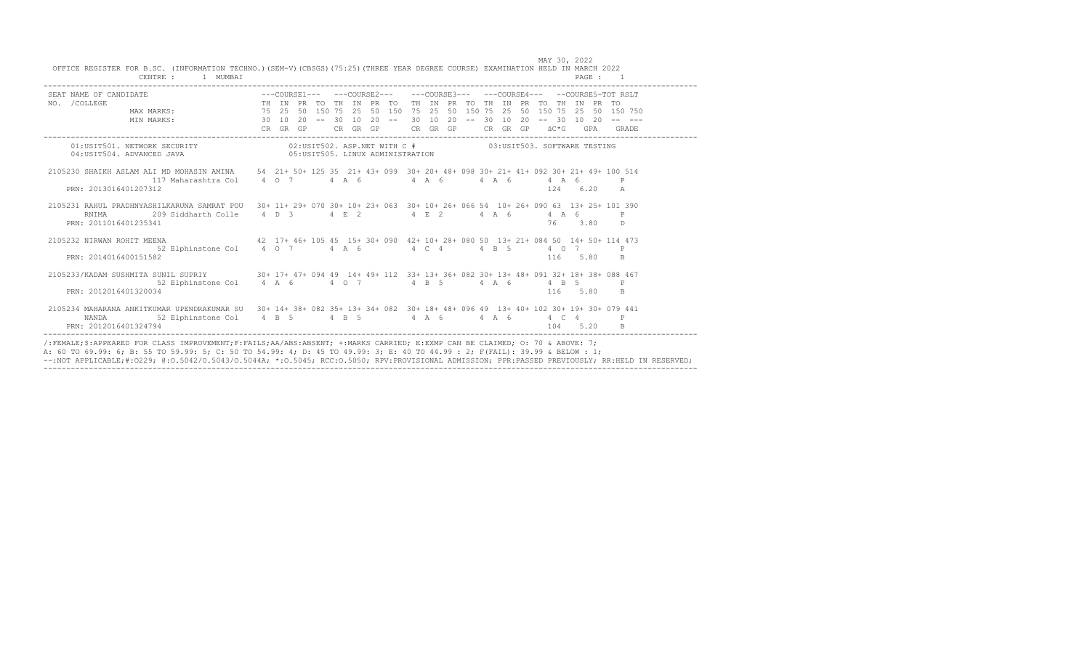| SEAT NAME OF CANDIDATE<br>NO. /COLLEGE MAX MARKS: THE IN PRETO THE IN PRETO THE IN PRETO THE IN PRETO THE IN PRETO THE IN PRETO MAX MARKS: 75 25 50 150 75 25 50 150 75 25 50 150 750 25 50 150 750 25 50 150 750 25 50 150 750 |  |  |  |                                                                |  |  |  |  |  |            |              |  |
|---------------------------------------------------------------------------------------------------------------------------------------------------------------------------------------------------------------------------------|--|--|--|----------------------------------------------------------------|--|--|--|--|--|------------|--------------|--|
|                                                                                                                                                                                                                                 |  |  |  | 50 150 75 25 50 150 75 25 50 150 75 25 50 150 75 25 50 150 750 |  |  |  |  |  |            |              |  |
| MIN MARKS: 30 10 20 -- 30 10 20 -- 30 10 20 -- 30 10 20 -- 30 10 20 -- 30 10 20 --                                                                                                                                              |  |  |  |                                                                |  |  |  |  |  |            |              |  |
|                                                                                                                                                                                                                                 |  |  |  |                                                                |  |  |  |  |  |            |              |  |
|                                                                                                                                                                                                                                 |  |  |  |                                                                |  |  |  |  |  |            |              |  |
| $02:USTTS01. \hbox{ NETWORK SECURITY}$ $02:USTTS02. \hbox{ ASP.NET WITH C } \#$ $03:USTTS03. \hbox{ SCTRARE TESTING}$ $04:USTTS04. \hbox{ADMINISTATION}$                                                                        |  |  |  |                                                                |  |  |  |  |  |            |              |  |
| 2105230 SHAIKH ASLAM ALI MD MOHASIN AMINA 54 21+ 50+ 125 35 21+ 43+ 099 30+ 20+ 48+ 098 30+ 21+ 41+ 092 30+ 21+ 49+ 100 514                                                                                                     |  |  |  |                                                                |  |  |  |  |  |            |              |  |
|                                                                                                                                                                                                                                 |  |  |  |                                                                |  |  |  |  |  |            |              |  |
| PRN: 2013016401207312                                                                                                                                                                                                           |  |  |  |                                                                |  |  |  |  |  | 124 6.20 A |              |  |
| 2105231 RAHUL PRADHNYASHILKARUNA SAMRAT POU 30+ 11+ 29+ 070 30+ 10+ 23+ 063 30+ 10+ 26+ 066 54 10+ 26+ 090 63 13+ 25+ 101 390                                                                                                   |  |  |  |                                                                |  |  |  |  |  |            |              |  |
| 209 Siddharth Colle 4 D 3 4 E 2 4 E 2 4 A 6 4 A 6<br>RNIMA                                                                                                                                                                      |  |  |  |                                                                |  |  |  |  |  |            |              |  |
| PRN: 2011016401235341                                                                                                                                                                                                           |  |  |  |                                                                |  |  |  |  |  | 76 3.80    | D.           |  |
| 2105232 NIRWAN ROHIT MEENA 473                                                                                                                                                                                                  |  |  |  |                                                                |  |  |  |  |  |            |              |  |
| 52 Elphinstone Col $4$ 0 7 $4$ A 6 $4$ C 4 $4$ B 5 $4$ 0 7                                                                                                                                                                      |  |  |  |                                                                |  |  |  |  |  |            | $\mathsf{P}$ |  |
| PRN: 2014016400151582                                                                                                                                                                                                           |  |  |  |                                                                |  |  |  |  |  | 116 5.80   | B.           |  |
| 2105233/KADAM SUSHMITA SUNIL SUPRIY 30+ 17+ 47+ 094 49 14+ 49+ 112 33+ 13+ 36+ 082 30+ 13+ 48+ 091 32+ 18+ 38+ 088 467                                                                                                          |  |  |  |                                                                |  |  |  |  |  |            |              |  |
| 52 Elphinstone Col 4 A 6 4 0 7 4 B 5 4 A 6 4 B 5                                                                                                                                                                                |  |  |  |                                                                |  |  |  |  |  |            |              |  |
| PRN: 2012016401320034                                                                                                                                                                                                           |  |  |  |                                                                |  |  |  |  |  | 116 5.80   | B.           |  |
| 2105234 MAHARANA ANKITKUMAR UPENDRAKUMAR SU 30+ 14+ 38+ 082 35+ 13+ 34+ 082 30+ 18+ 48+ 096 49 13+ 40+ 102 30+ 19+ 30+ 079 441                                                                                                  |  |  |  |                                                                |  |  |  |  |  |            |              |  |
| 52 Elphinstone Col 4 B 5 4 B 5 4 A 6 4 A 6 4 C 4 P<br>NANDA                                                                                                                                                                     |  |  |  |                                                                |  |  |  |  |  |            |              |  |
| PRN: 2012016401324794                                                                                                                                                                                                           |  |  |  |                                                                |  |  |  |  |  | 104 5.20   |              |  |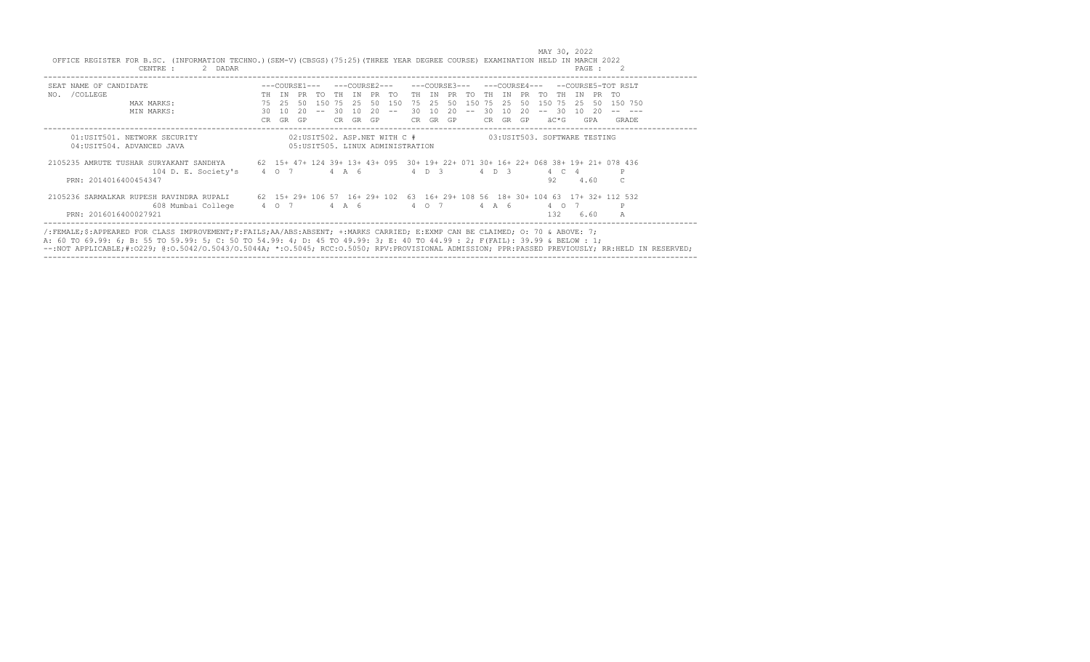| SEAT NAME OF CANDIDATE                                                                                                     |             |       |    |      |      |                  |        |        |     |    |       | ---COURSE3---      |       |    | ---COURSE4--- |      |       |              |      | $--COUTRSE5-TOTRSIT$ |
|----------------------------------------------------------------------------------------------------------------------------|-------------|-------|----|------|------|------------------|--------|--------|-----|----|-------|--------------------|-------|----|---------------|------|-------|--------------|------|----------------------|
| NO. / COLLEGE                                                                                                              |             | TH TN |    |      |      | PR TO THIN PR TO |        |        |     |    |       | TH IN PR TO TH IN  |       |    | PR TO         |      | TH    | TN           |      | PR TO                |
| MAX MARKS:                                                                                                                 |             | 75 25 |    |      |      | 50 150 75 25     |        | 50 150 |     |    |       | 75 25 50 150 75 25 |       |    |               |      |       | 50 150 75 25 |      | 50 150 750           |
| MIN MARKS:                                                                                                                 | 30          | 10    | 20 | $--$ | - 30 | 10               | $20 -$ | $- -$  | 30  | 10 | 20    | $\sim$ $-$         | 30    | 10 | 20            | $--$ | - 30  | 1 O          | - 20 |                      |
|                                                                                                                            | CR.         | GR    | GP |      | CR.  | GR               | GP.    |        | CR. |    | GR GP |                    | CR.   |    | GR GP         |      | äC*G  |              | GPA  | GRADE                |
| 2105235 AMRUTE TUSHAR SURYAKANT SANDHYA 62 15+ 47+ 124 39+ 13+ 43+ 095 30+ 19+ 22+ 071 30+ 16+ 22+ 068 38+ 19+ 21+ 078 436 |             |       |    |      |      |                  |        |        |     |    |       |                    |       |    |               |      |       |              |      |                      |
| 104 D. E. Society's                                                                                                        | 4 0 7 4 A 6 |       |    |      |      |                  |        |        |     |    | 4 D 3 |                    | 4 D 3 |    |               |      | 4 C 4 |              |      |                      |
| PRN: 2014016400454347                                                                                                      |             |       |    |      |      |                  |        |        |     |    |       |                    |       |    |               |      | 92.   |              | 4.60 |                      |
| 2105236 SARMALKAR RUPESH RAVINDRA RUPALI 62 15+ 29+ 106 57 16+ 29+ 102 63 16+ 29+ 108 56 18+ 30+ 104 63 17+ 32+ 112 532    |             |       |    |      |      |                  |        |        |     |    |       |                    |       |    |               |      |       |              |      |                      |
| 608 Mumbai College                                                                                                         | 4 0 7       |       |    |      |      | 4 A 6            |        |        |     |    | 4 0 7 |                    | 4 A 6 |    |               |      | 4 0 7 |              |      |                      |
| PRN: 2016016400027921                                                                                                      |             |       |    |      |      |                  |        |        |     |    |       |                    |       |    |               |      | 132   |              | 6.60 |                      |

A: 60 TO 69.99: 6; B: 55 TO 59.99: 5; C: 50 TO 54.99: 4; D: 45 TO 49.99: 3; E: 40 TO 44.99 : 2; F(FAIL): 39.99 & BELOW : 1;<br>--:NOT APPLICABLE;#:O229; @:O.5042/O.5043/O.5044A; \*:O.5045; RCC:O.5050; RPV:PROVISIONAL ADMISSION ------------------------------------------------------------------------------------------------------------------------------------------------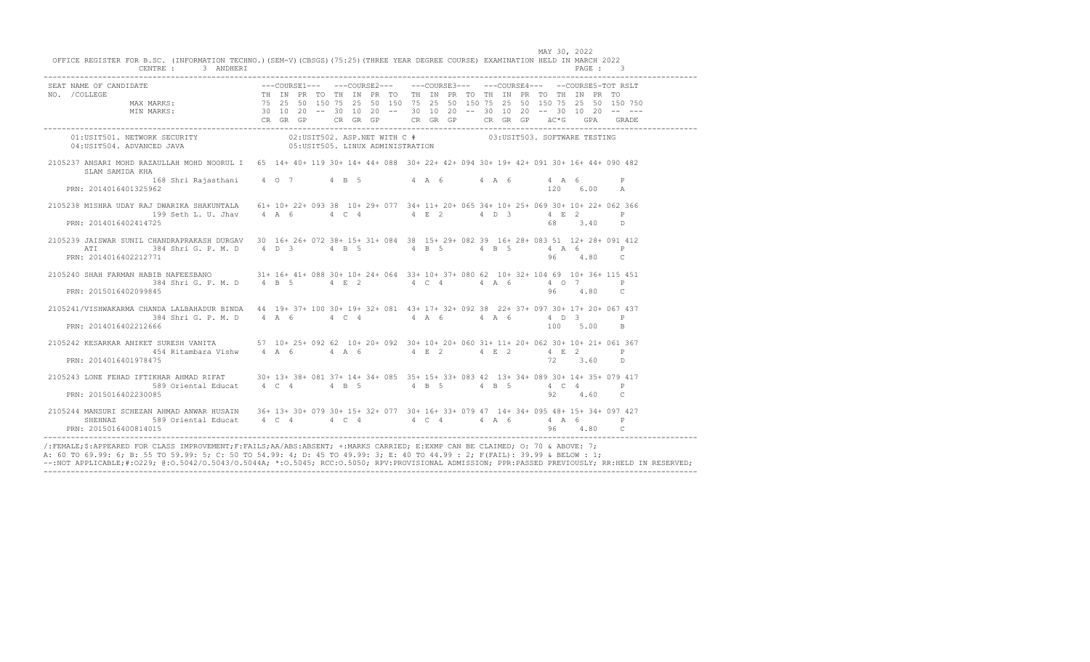| CENTRE: 3 ANDHERI                | MAY 30, 2022<br>OFFICE REGISTER FOR B.SC. (INFORMATION TECHNO.) (SEM-V) (CBSGS) (75:25) (THREE YEAR DEGREE COURSE) EXAMINATION HELD IN MARCH 2022<br>PAGE: 3                                                                                                                                                                                                                                                   |  |
|----------------------------------|----------------------------------------------------------------------------------------------------------------------------------------------------------------------------------------------------------------------------------------------------------------------------------------------------------------------------------------------------------------------------------------------------------------|--|
|                                  | ---COURSE1--- ---COURSE2--- ---COURSE3--- ---COURSE4--- --COURSE5-TOT RSLT<br>NO. /COLLEGE<br>MAX MARKS: 75 25 50 150 75 25 50 150 75 25 50 150 75 25 50 150 75 25 50 150 75 25 50 150 75<br>MIN MARKS: 30 10 20 -- 30 10 20 -- 30 1                                                                                                                                                                           |  |
|                                  |                                                                                                                                                                                                                                                                                                                                                                                                                |  |
| SLAM SAMIDA KHA                  | 2105237 ANSARI MOHD RAZAULLAH MOHD NOORUL I 65 14+ 40+ 119 30+ 14+ 44+ 088 30+ 22+ 42+ 094 30+ 19+ 42+ 091 30+ 16+ 44+ 090 482                                                                                                                                                                                                                                                                                 |  |
| PRN: 2014016401325962            | 168 Shri Rajasthani 4 0 7 4 B 5 4 A 6 4 A 6 4 A 6 P<br>120 6.00 A                                                                                                                                                                                                                                                                                                                                              |  |
| PRN: 2014016402414725            | 2105238 MISHRA UDAY RAJ DWARIKA SHAKUNTALA 61+ 10+ 22+ 093 38 10+ 29+ 077 34+ 11+ 20+ 065 34+ 10+ 25+ 069 30+ 10+ 22+ 062 366<br>199 Seth L. U. Jhav 4 A 6 4 C 4 4 E 2 4 D 3 4 E 2 P<br>68 3.40 D                                                                                                                                                                                                              |  |
| ATT<br>PRN: 2014016402212771     | 2105239 JAISWAR SUNIL CHANDRAPRAKASH DURGAV 30 16+ 26+ 072 38+ 15+ 31+ 084 38 15+ 29+ 082 39 16+ 28+ 083 51 12+ 28+ 091 412<br>384 Shri G. P. M. D 4 D 3 4 B 5 4 B 5 4 B 5 4 A 6 P<br>96 4.80 C                                                                                                                                                                                                                |  |
| PRN: 2015016402099845            | 2105240 SHAH FARMAN HABIB NAFEESBANO 31+ 16+ 41+ 088 30+ 10+ 24+ 064 33+ 10+ 37+ 080 62 10+ 32+ 104 69 10+ 36+ 115 451<br>384 Shri G. P. M. D 4 B 5 4 E 2 4 C 4 4 A 6 4 0 7 P<br>96 4.80 C                                                                                                                                                                                                                     |  |
| PRN: 2014016402212666            | 2105241/VISHWAKARMA CHANDA LALBAHADUR BINDA 44 19+ 37+ 100 30+ 19+ 32+ 081 43+ 17+ 32+ 092 38 22+ 37+ 097 30+ 17+ 20+ 067 437<br>384 Shri G. P. M. D 4 A 6 4 C 4 C 4 4 A 6 4 A 6 4 A 6 4 D 3 P<br>100 5.00 B                                                                                                                                                                                                   |  |
| PRN: 2014016401978475            | 2105242 KESARKAR ANIKET SURESH VANITA 57 10+ 25+ 092 62 10+ 20+ 092 30+ 10+ 20+ 060 31+ 11+ 20+ 062 30+ 10+ 21+ 061 367<br>454 Ritambara Vishw 4 A 6 4 A 6 4 A 6 4 E 2 4 E 2 4 E 2 P<br>72 3.60 D                                                                                                                                                                                                              |  |
| PRN: 2015016402230085            | 2105243 LONE FEHAD IFTIKHAR AHMAD RIFAT 30+ 13+ 38+ 081 37+ 14+ 34+ 085 35+ 15+ 33+ 083 42 13+ 34+ 089 30+ 14+ 35+ 079 417<br>589 Oriental Educat 4 C 4 4 B 5 4 4 B 5 4 4 2 4 P<br>92 4.60 C                                                                                                                                                                                                                   |  |
| SHEHNAZ<br>PRN: 2015016400814015 | 2105244 MANSURI SCHEZAN AHMAD ANWAR HUSAIN 36+ 13+ 30+ 079 30+ 15+ 32+ 077 30+ 16+ 33+ 079 47 14+ 34+ 095 48+ 15+ 34+ 097 427<br>589 Oriental Educat 4 C 4 4 4 4 4 4 4 4 4 5 4 6 4 6 589 Oriental Educat 4 4 C 4 4 4 4 4 4 5 6 5 9 10<br>96 4.80 C                                                                                                                                                             |  |
|                                  | /:FEMALE;\$:APPEARED FOR CLASS IMPROVEMENT;F:FAILS;AA/ABS:ABSENT; +:MARKS CARRIED; E:EXMP CAN BE CLAIMED; 0: 70 & ABOVE: 7;<br>A: 60 TO 69.99: 6; B: 55 TO 59.99: 5; C: 50 TO 54.99: 4; D: 45 TO 49.99: 3; E: 40 TO 44.99 : 2; F(FAIL): 39.99 & BELOW : 1;<br>--: NOT APPLICABLE;#:0229; @:0.5042/0.5043/0.5044A; *:0.5045; RCC:0.5050; RPV:PROVISIONAL ADMISSION; PPR:PASSED PREVIOUSLY; RR:HELD IN RESERVED; |  |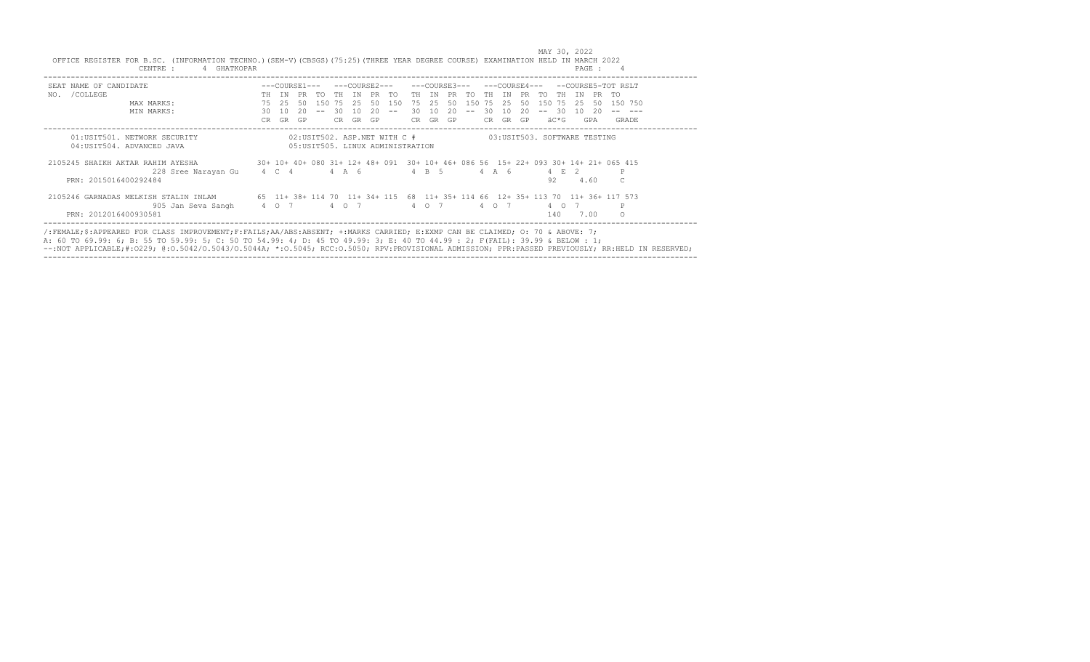| SEAT NAME OF CANDIDATE                             |     |     | ---COURSE1--- |        |     |       | ---COURSE2--- |     |    |       | ---COURSE3--- |        |     | $---COURSR4---$ |     |        |          |           |     | --COURSE5-TOT RSLT                                                                 |
|----------------------------------------------------|-----|-----|---------------|--------|-----|-------|---------------|-----|----|-------|---------------|--------|-----|-----------------|-----|--------|----------|-----------|-----|------------------------------------------------------------------------------------|
| /COLLEGE<br>NO.                                    | TН  | TN  | PR            | TO     | TH  | TN PR |               | TO. |    | TH TN | PR.           | TO     | TH. | TN.             | PR. | TO.    | TH       | T N       | PR. | TO                                                                                 |
| MAX MARKS:                                         | 75  | 2.5 | 50            | 150 75 |     | 2.5   | 50            | 150 | 75 | 2.5   | 50            | 150 75 |     | -25             | 50  | 150 75 |          | -25       | 50  | 150 750                                                                            |
| MIN MARKS:                                         | 30  | 10  | 20            |        | 30  | 10    | 20            |     | 30 | 10    | 20            |        | 30. | 10              | 20  |        | -30      | 10        | -20 |                                                                                    |
|                                                    | CR. | GR  | GP            |        | CR. | GR.   | GP            |     | CR |       | GR GP         |        | CR. | GR              | GP  |        | äC*G     |           | GPA | GRADE                                                                              |
| 2105245 SHAIKH AKTAR RAHIM AYESHA                  |     |     |               |        |     |       |               |     |    |       |               |        |     |                 |     |        |          |           |     | 30+ 10+ 40+ 080 31+ 12+ 48+ 091 30+ 10+ 46+ 086 56 15+ 22+ 093 30+ 14+ 21+ 065 415 |
| 228 Sree Narayan Gu 4 C 4<br>PRN: 2015016400292484 |     |     |               |        |     | 4 A 6 |               |     |    | 4 B 5 |               |        |     | 4 A 6           |     | 92     |          | 2<br>4.60 |     | Р                                                                                  |
| 2105246 GARNADAS MELKISH STALIN INLAM              |     |     |               |        |     |       |               |     |    |       |               |        |     |                 |     |        |          |           |     | 65 11+ 38+ 114 70 11+ 34+ 115 68 11+ 35+ 114 66 12+ 35+ 113 70 11+ 36+ 117 573     |
| 905 Jan Seva Sangh 4 0 7                           |     |     |               |        |     | 4 0 7 |               |     |    | 4 0 7 |               |        |     | 4 0 7           |     |        | $4\circ$ |           |     | P                                                                                  |
| PRN: 2012016400930581                              |     |     |               |        |     |       |               |     |    |       |               |        |     |                 |     |        | 140      | 7.00      |     |                                                                                    |

/:FEMALE;\$:APPEARED FOR CLASS IMPROVEMENT;F:FAILS;AA/ABS:ABSENT; +:MARKS CARRIED; E:EXMP CAN BE CLAIMED; O: 70 & ABOVE: 7;<br>A: 60 TO 69.99: 6; B: 55 TO 59.99: 5; C: 50 TO 54.99: 4; D: 45 TO 49.99: 3; E: 40 TO 44.99 : 2; F(F ------------------------------------------------------------------------------------------------------------------------------------------------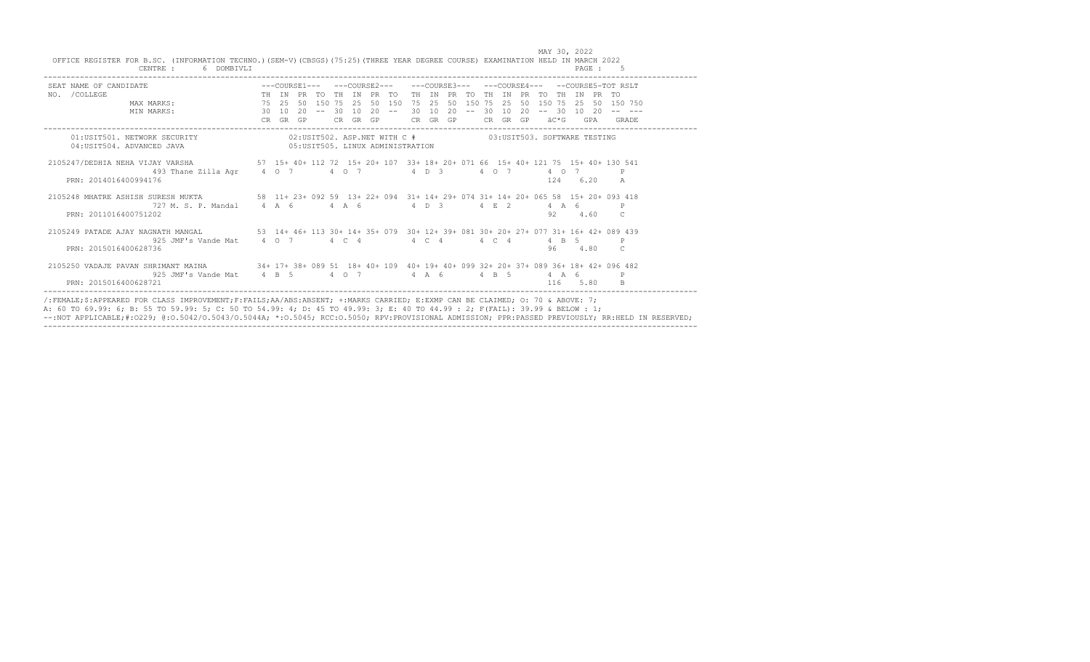| SEAT NAME OF CANDIDATE<br>NO. /COLLEGE MAX MARKS: THE IN PRETO THE IN PRETO THE IN PRETO THE IN PRETO THE IN PRETO THE IN PRETO THE IN<br>MAX MARKS: 75 25 50 150 75 25 50 150 75 25 50 150 75 25 50 150 75 25 50 150 75 25 50 15 |                            |  |  |  |  |                                                          |  |          |  |          |               |         |
|-----------------------------------------------------------------------------------------------------------------------------------------------------------------------------------------------------------------------------------|----------------------------|--|--|--|--|----------------------------------------------------------|--|----------|--|----------|---------------|---------|
|                                                                                                                                                                                                                                   |                            |  |  |  |  |                                                          |  |          |  |          |               | 150 750 |
| MIN MARKS: 30 10                                                                                                                                                                                                                  | CR GR GP CR GR GP CR GR GP |  |  |  |  | 20 -- 30 10 20 -- 30 10 20 -- 30 10 20 -- 30 10 20 -- -- |  | CR GR GP |  | äC*G GPA |               | GRADE   |
|                                                                                                                                                                                                                                   |                            |  |  |  |  |                                                          |  |          |  |          |               |         |
| 01:USIT501. NETWORK SECURITY 602:USIT502. ASP.NET WITH C # 03:USIT503. SOFTWARE TESTING                                                                                                                                           |                            |  |  |  |  |                                                          |  |          |  |          |               |         |
| 04:USIT504. ADVANCED JAVA 65:USIT505. LINUX ADMINISTRATION                                                                                                                                                                        |                            |  |  |  |  |                                                          |  |          |  |          |               |         |
| 2105247/DEDHIA NEHA VIJAY VARSHA 57 15+ 40+ 112 72 15+ 20+ 107 33+ 18+ 20+ 071 66 15+ 40+ 121 75 15+ 40+ 130 541                                                                                                                  |                            |  |  |  |  |                                                          |  |          |  |          |               |         |
| 493 Thane Zilla Agr 4 0 7 4 0 7 4 4 D 3 4 0 7                                                                                                                                                                                     |                            |  |  |  |  |                                                          |  |          |  | 4 0 7    |               |         |
| PRN: 2014016400994176                                                                                                                                                                                                             |                            |  |  |  |  |                                                          |  |          |  | 124 6.20 | A             |         |
| 2105248 MHATRE ASHISH SURESH MUKTA 58 11+ 23+ 092 59 13+ 22+ 094 31+ 14+ 29+ 074 31+ 14+ 20+ 065 58 15+ 20+ 093 418                                                                                                               |                            |  |  |  |  |                                                          |  |          |  |          |               |         |
| 727 M.S.P. Mandal 4 A 6 4 A 6 4 D 3                                                                                                                                                                                               |                            |  |  |  |  |                                                          |  | 4 E 2    |  | 4 A 6    |               |         |
| PRN: 2011016400751202                                                                                                                                                                                                             |                            |  |  |  |  |                                                          |  |          |  | 92 4.60  | $\mathcal{C}$ |         |
| 2105249 PATADE AJAY NAGNATH MANGAL 63 14+ 46+ 113 30+ 14+ 35+ 079 30+ 12+ 39+ 081 30+ 20+ 27+ 077 31+ 16+ 42+ 089 439                                                                                                             |                            |  |  |  |  |                                                          |  |          |  |          |               |         |
| 925 JMF's Vande Mat 4 0 7 4 C 4 4 4 C 4 4 4 C 4 4 B 5                                                                                                                                                                             |                            |  |  |  |  |                                                          |  |          |  |          | P             |         |
| PRN: 2015016400628736                                                                                                                                                                                                             |                            |  |  |  |  |                                                          |  |          |  | 96 4.80  | $\Gamma$      |         |
| 2105250 VADAJE PAVAN SHRIMANT MAINA 34+ 17+ 38+ 089 51 18+ 40+ 109 40+ 19+ 40+ 099 32+ 20+ 37+ 089 36+ 18+ 42+ 096 482                                                                                                            |                            |  |  |  |  |                                                          |  |          |  |          |               |         |
| 925 JMF's Vande Mat 4 B 5 4 0 7 4 A 6 4 B 5 4 A 6                                                                                                                                                                                 |                            |  |  |  |  |                                                          |  |          |  |          |               |         |
| PRN: 2015016400628721                                                                                                                                                                                                             |                            |  |  |  |  |                                                          |  |          |  | 116 5.80 |               |         |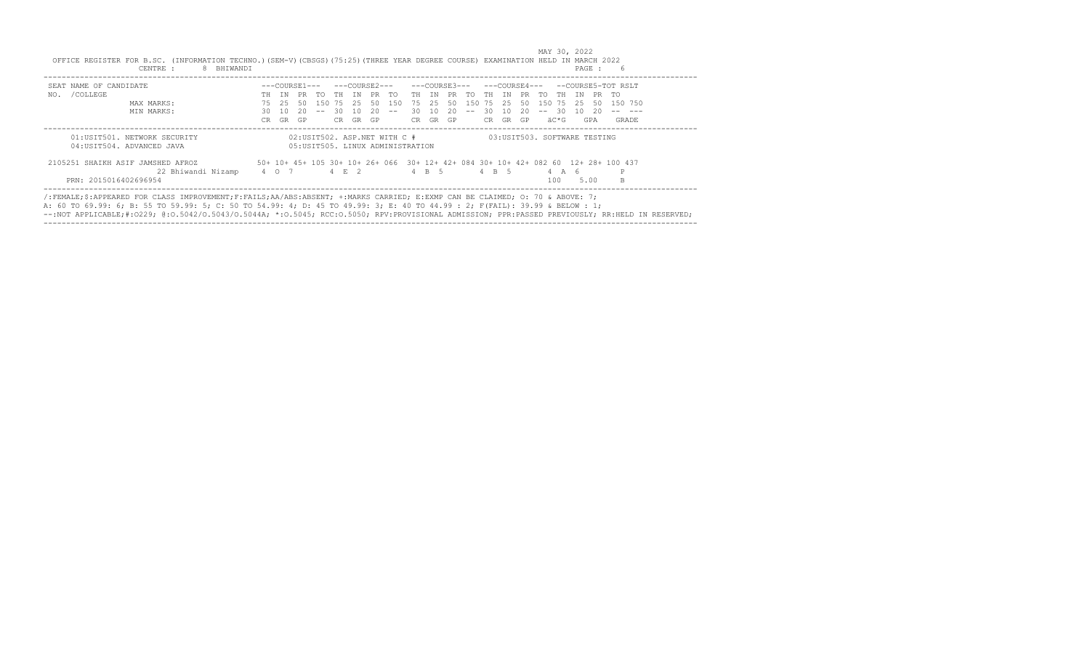| SEAT NAME OF CANDIDATE                                     |     |       |     | ---COURSE1--- |       |       |     | ---COURSE2---                                                     |      | ---COURSE3--- |     |      | ---COURSE4--- |     |     |                              |     |      | --COURSE5-TOT RSLT                                                                 |
|------------------------------------------------------------|-----|-------|-----|---------------|-------|-------|-----|-------------------------------------------------------------------|------|---------------|-----|------|---------------|-----|-----|------------------------------|-----|------|------------------------------------------------------------------------------------|
| /COLLEGE<br>NO.                                            | TH. | TN    | PR. | TO            | TH TN |       | PR  | TO.                                                               | TH T | TN            | PR. | TO.  | TH.           | TN  | PR. | TO.<br>TH                    | TN  | PR   | TO.                                                                                |
| MAX MARKS:                                                 | 75  | 25    | -50 | 1.50          | 75    | - 2.5 | 50  | 150                                                               | 75   | - 25          | 50  | 1.50 | 75            | 2.5 | 50  | 150<br>75                    | -25 | -50  | 150 750                                                                            |
| MIN MARKS:                                                 | 30  | 1 O   | 20  |               | 30.   | 1 N   | 20. |                                                                   | 30.  | 1 O           | 20. |      | 30            | 10  | -20 | -30-                         | 10  | - 20 |                                                                                    |
|                                                            | CR. | GR.   | GP  |               | CR.   | GR    | GP  |                                                                   | CR.  | GR GP         |     |      | CR.           | GR  | GP  | äC*G                         |     | GPA  | GRADE                                                                              |
| 01:USIT501. NETWORK SECURITY<br>04: USIT504. ADVANCED JAVA |     |       |     |               |       |       |     | 02:USIT502. ASP.NET WITH C #<br>05: USIT505. LINUX ADMINISTRATION |      |               |     |      |               |     |     | 03:USIT503. SOFTWARE TESTING |     |      |                                                                                    |
| 2105251 SHATKH ASTF JAMSHED AFROZ                          |     |       |     |               |       |       |     |                                                                   |      |               |     |      |               |     |     |                              |     |      | 50+ 10+ 45+ 105 30+ 10+ 26+ 066 30+ 12+ 42+ 084 30+ 10+ 42+ 082 60 12+ 28+ 100 437 |
| 22 Bhiwandi Nizamp                                         |     | 4 0 7 |     | $4 \t R$ 2    |       |       |     |                                                                   |      | 4 B 5         |     |      | 4 B 5         |     |     | $4 \overline{A}$             | -6  |      | P                                                                                  |
| PRN: 2015016402696954                                      |     |       |     |               |       |       |     |                                                                   |      |               |     |      |               |     |     | 100                          |     | 5.00 | B                                                                                  |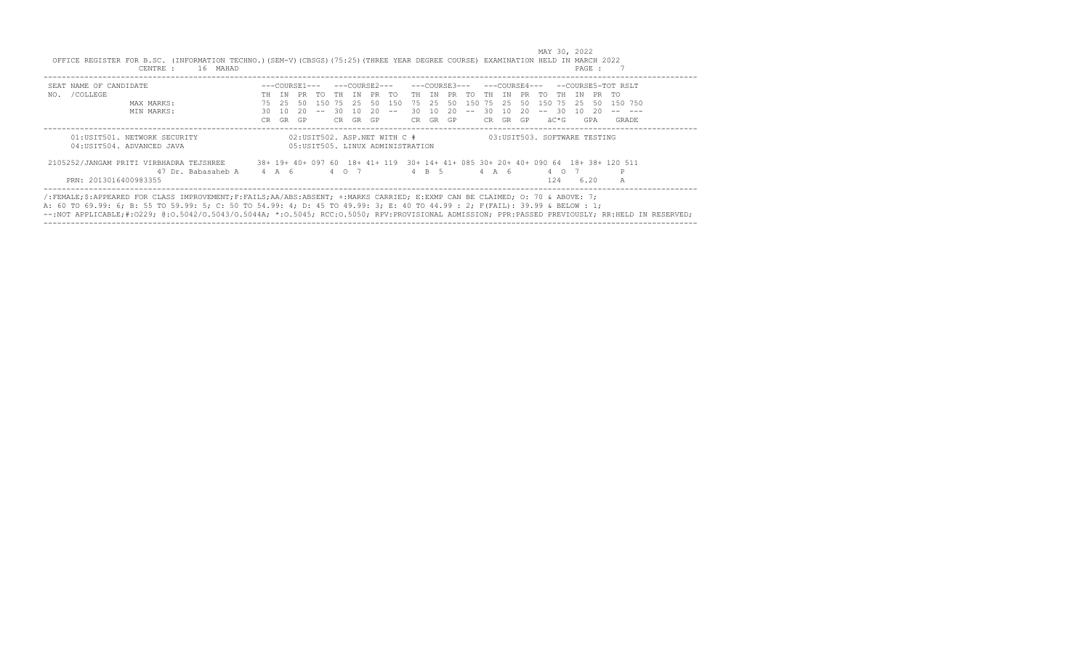| SEAT NAME OF CANDIDATE                  |       |     | ---COURSE1--- |     |       |     |     | ---COURSE2---                     |     | ---COURSE3--- |     |       |       |     |     | ---COURSE4---                |     |      | --COURSE5-TOT RSLT                                                                |
|-----------------------------------------|-------|-----|---------------|-----|-------|-----|-----|-----------------------------------|-----|---------------|-----|-------|-------|-----|-----|------------------------------|-----|------|-----------------------------------------------------------------------------------|
| /COLLEGE<br>NO.                         | TH.   | T N | PR.           | TO. | TH T  | TN  | PR. | TO.                               | TH  | TN            | PR. | TO.   | TH.   | TN. | PR. | TO.<br>TH.                   | TN  | PR   | アの                                                                                |
| MAX MARKS:                              | 75    | 25  | -50           | 150 | 75    | -25 | 50  | 150                               | 75  | 2.5           | -50 | 150   | 75    | 2.5 | 50  | 150<br>75                    | -25 | -50  | 150 750                                                                           |
| MIN MARKS:                              | 30.   | 1 O | 20            |     | -30   | 1 O | 20. |                                   | 30. | 1 O           | 20  | $- -$ | 30.   | 1 O | 20  | -30<br>$ -$                  | 1 O | -20  |                                                                                   |
|                                         | CR.   | GR  | GP            |     | CR.   | GR  | GP  |                                   | CR. | GR GP         |     |       | CR.   | GR  | GP  | äC*G                         |     | GPA  | GRADE                                                                             |
| 01:USIT501. NETWORK SECURITY            |       |     |               |     |       |     |     | 02:USIT502. ASP.NET WITH C #      |     |               |     |       |       |     |     | 03:USIT503. SOFTWARE TESTING |     |      |                                                                                   |
| 04: USIT504. ADVANCED JAVA              |       |     |               |     |       |     |     | 05: USIT505. LINUX ADMINISTRATION |     |               |     |       |       |     |     |                              |     |      |                                                                                   |
| 2105252/JANGAM PRITI VIRBHADRA TEJSHREE |       |     |               |     |       |     |     |                                   |     |               |     |       |       |     |     |                              |     |      | 38+ 19+ 40+ 097 60 18+ 41+ 119 30+ 14+ 41+ 085 30+ 20+ 40+ 090 64 18+ 38+ 120 511 |
| 47 Dr. Babasaheb A                      | 4 A 6 |     |               |     | 4 0 7 |     |     |                                   |     | 4 B 5         |     |       | 4 A 6 |     |     | $4\circ$                     |     |      | P                                                                                 |
| PRN: 2013016400983355                   |       |     |               |     |       |     |     |                                   |     |               |     |       |       |     |     | 124                          |     | 6.20 | A                                                                                 |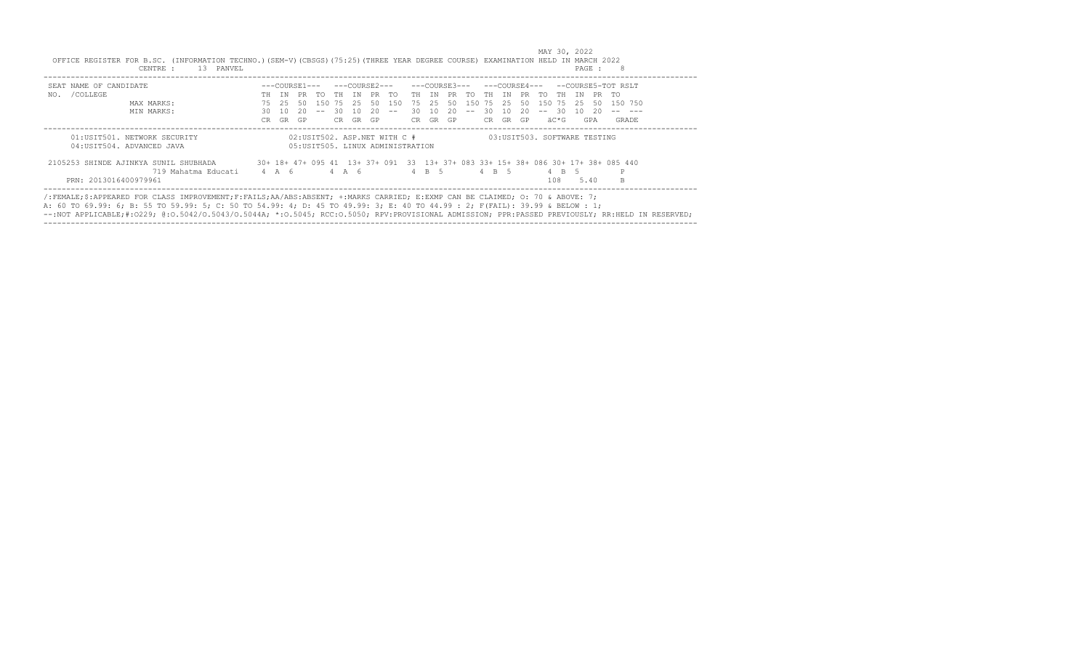| SEAT NAME OF CANDIDATE                |     |       | ---COURSE1--- |              |     |       |    | ---COURSE2---    |       |          | ---COURSE3--- |             | ---COURSE4--- |     |    |         |      |      |       | --COURSE5-TOT RSLT                                                                |  |
|---------------------------------------|-----|-------|---------------|--------------|-----|-------|----|------------------|-------|----------|---------------|-------------|---------------|-----|----|---------|------|------|-------|-----------------------------------------------------------------------------------|--|
| NO. / COLLEGE                         | TH  | TN    | PR            | TO THIN PRTO |     |       |    |                  | TH TN |          |               | PR TO TH IN |               |     |    | PR TO   | TH   | TN   | PR TO |                                                                                   |  |
| MAX MARKS:                            | 75  | 25    | 50            |              |     |       |    | 150 75 25 50 150 |       | 75 25    | 50            | 150 75      |               | 2.5 | 50 | 150 75  |      | - 25 | -50   | 150 750                                                                           |  |
| MIN MARKS:                            | 30  | 10    | 20            | $  \,$       | 30  | 10    | 20 | $\sim$ $-$       | 30    | 10       | 20            | $- -$       | -30           | 10  | 20 | $-- 30$ |      | 10   | - 20  |                                                                                   |  |
|                                       | CR. | GR    | GP            |              | CR. | GR    | GP |                  |       | CR GR GP |               |             | CR GR GP      |     |    |         | äC*G |      | GPA   | GRADE                                                                             |  |
|                                       |     |       |               |              |     |       |    |                  |       |          |               |             |               |     |    |         |      |      |       |                                                                                   |  |
| 2105253 SHINDE AJINKYA SUNIL SHUBHADA |     |       |               |              |     |       |    |                  |       |          |               |             |               |     |    |         |      |      |       | 30+ 18+ 47+ 095 41 13+ 37+ 091 33 13+ 37+ 083 33+ 15+ 38+ 086 30+ 17+ 38+ 085 440 |  |
| 719 Mahatma Educati                   |     | 4 A 6 |               |              |     | 4 A 6 |    |                  |       | 4 B 5    |               |             | 4 B 5         |     |    |         | 4 B  |      |       |                                                                                   |  |
|                                       |     |       |               |              |     |       |    |                  |       |          |               |             |               |     |    |         | 108  |      | 5.40  | B.                                                                                |  |

------------------------------------------------------------------------------------------------------------------------------------------------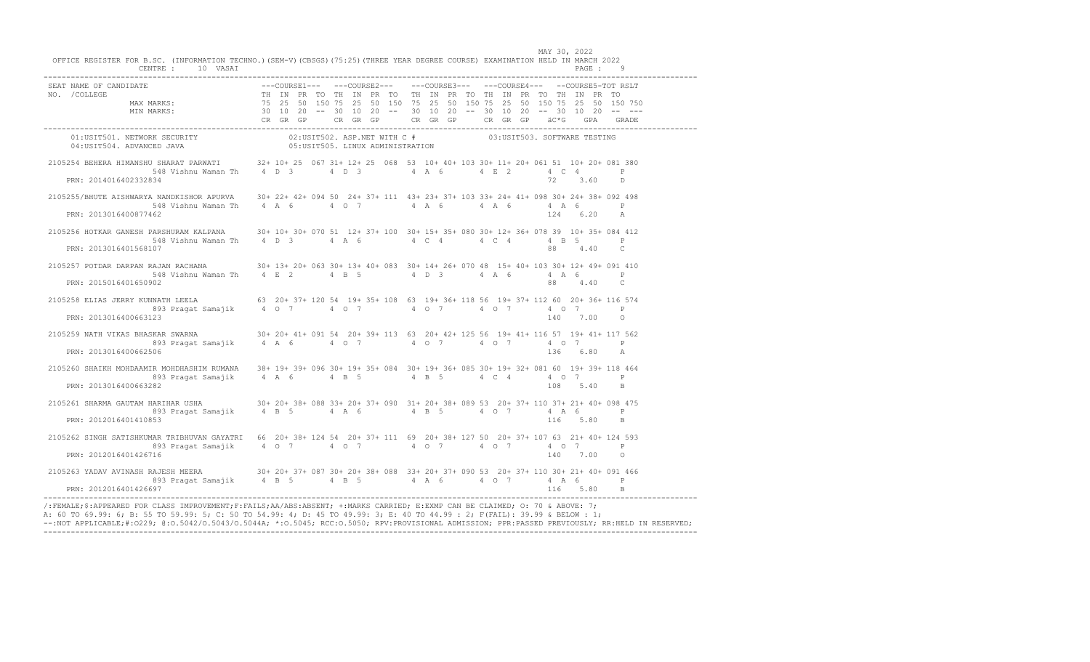| PRN: 2014016402332834 | 2105254 BEHERA HIMANSHU SHARAT PARWATI 32+10+25 067 31+12+25 068 53 10+40+103 30+11+20+061 51 10+20+081 380<br>548 Vishnu Waman Th 4 D 3 4 D 3 4 A 6 4 E 2 4 C 4 P<br>72 3.60 D                                                                                                                                                                                     |  |
|-----------------------|---------------------------------------------------------------------------------------------------------------------------------------------------------------------------------------------------------------------------------------------------------------------------------------------------------------------------------------------------------------------|--|
| PRN: 2013016400877462 | 2105255/BHUTE AISHWARYA NANDKISHOR APURVA 30+ 22+ 42+ 094 50 24+ 37+ 111 43+ 23+ 37+ 103 33+ 24+ 41+ 098 30+ 24+ 38+ 092 498<br>. - министерство на селото на 1992 година на 1992 година на 1992 година, представа на 1993 година на 1993 годи<br>1962 година на 1994 година на 1994 година на 1994 година 1994 година 1994 година 1994 година 1994 година 1994<br> |  |
| PRN: 2013016401568107 | 2105256 HOTKAR GANESH PARSHURAM KALPANA 30+ 10+ 30+ 070 51 12+ 37+ 100 30+ 15+ 35+ 080 30+ 12+ 36+ 078 39 10+ 35+ 084 412<br>548 Vishnu Waman Th    4    D    3    4    A    6    4    C    4    4    C   4    4    4    B    5    P<br>88 4.40 C                                                                                                                   |  |
| PRN: 2015016401650902 | 2105257 POTDAR DARPAN RAJAN RACHANA $30+13+20+063$ $30+13+40+083$ $30+14+26+070$ 48 $15+40+103$ $30+12+49+091$ 410<br>88 4.40 C                                                                                                                                                                                                                                     |  |
| PRN: 2013016400663123 | 2105258 ELIAS JERRY KUNNATH LEELA 63 20+ 37+ 120 54 19+ 35+ 108 63 19+ 36+ 118 56 19+ 37+ 112 60 20+ 36+ 116 574<br>140 7.00 0                                                                                                                                                                                                                                      |  |
| PRN: 2013016400662506 | 2105259 NATH VIKAS BHASKAR SWARNA 30+ 20+ 41+ 091 54 20+ 39+ 113 63 20+ 42+ 125 56 19+ 41+ 116 57 19+ 41+ 117 562<br>893 Pragat Samajik 4 A 6 4 0 7 4 0 7 4 0 7 4 0 7 4 0 7<br>136 6.80 A                                                                                                                                                                           |  |
| PRN: 2013016400663282 | 2105260 SHAIKH MOHDAAMIR MOHDHASHIM RUMANA 38+ 19+ 39+ 096 30+ 19+ 35+ 084 30+ 19+ 36+ 085 30+ 19+ 32+ 081 60 19+ 39+ 118 464<br>893 Pragat Samajik 4 A 6 4 B 5 4 C 4 4 0 7 P<br>108 5.40 B                                                                                                                                                                         |  |
| PRN: 2012016401410853 | 2105261 SHARMA GAUTAM HARIHAR USHA<br>893 Pragat Samajik (4 B 5 (4 A 6 (4 B 5 4 O 7 4 A 6 P<br>116 5.80 B                                                                                                                                                                                                                                                           |  |
| PRN: 2012016401426716 | 2105262 SINGH SATISHKUMAR TRIBHUVAN GAYATRI 66 20+ 38+ 124 54 20+ 37+ 111 69 20+ 38+ 127 50 20+ 37+ 107 63 21+ 40+ 124 593<br>140 7.00 0                                                                                                                                                                                                                            |  |
| PRN: 2012016401426697 | 2105263 YADAV AVINASH RAJESH MEERA 30+ 20+ 37+ 087 30+ 20+ 37+ 088 33+ 20+ 37+ 090 53 20+ 37+ 110 30+ 21+ 40+ 091 466<br>893 Pragat Samajik 4 B 5 4 B 5 4 A 6 4 0 7 4 A 6 P<br>116 5.80 B                                                                                                                                                                           |  |

 MAY 30, 2022 OFFICE REGISTER FOR B.SC. (INFORMATION TECHNO.)(SEM-V)(CBSGS)(75:25)(THREE YEAR DEGREE COURSE) EXAMINATION HELD IN MARCH 2022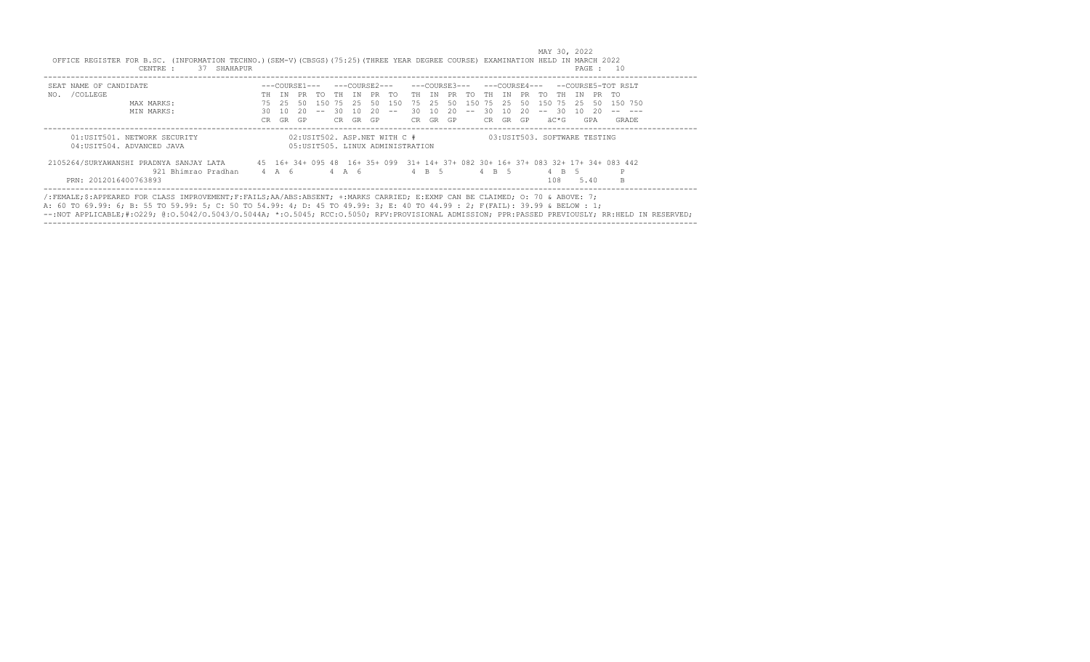| SEAT NAME OF CANDIDATE                                     |     |       |           |                  |    |       |    |                                                                   |       |       |     |            |       |      |       |                              |       |     |       | ---COURSE3--- ---COURSE4--- --COURSE5-TOT RSLT                                    |
|------------------------------------------------------------|-----|-------|-----------|------------------|----|-------|----|-------------------------------------------------------------------|-------|-------|-----|------------|-------|------|-------|------------------------------|-------|-----|-------|-----------------------------------------------------------------------------------|
| NO. / COLLEGE                                              | TH. | TN    |           | PR TO THIN PR TO |    |       |    |                                                                   | TH TN |       |     | PR TO THIN |       |      | PR TO |                              | TH TN |     |       | PR TO                                                                             |
| MAX MARKS:                                                 | 75  | -25.  | -50       |                  |    |       |    | 150 75 25 50 150                                                  | 75 25 |       | 50  | 150 75     |       | 2.5  | 50    | 150 75 25                    |       |     | -50   | 150 750                                                                           |
| MIN MARKS:                                                 | 30  | - 10  | - 20      | $\sim$ $-$       | 30 | 10    | 20 | $\sim$ $-$                                                        | 30 I  | 10    | -20 | $- -$      | 30    | - 10 | -20   | $-- 30$                      |       |     | 10 20 |                                                                                   |
|                                                            | CR. | GR    | <b>GP</b> |                  | CR | GR GP |    |                                                                   | CR.   | GR GP |     |            | CR    | GR   | GP.   |                              | äC*G  |     | GPA   | GRADE                                                                             |
| 01:USIT501. NETWORK SECURITY<br>04: USIT504. ADVANCED JAVA |     |       |           |                  |    |       |    | 02:USIT502. ASP.NET WITH C #<br>05: USIT505. LINUX ADMINISTRATION |       |       |     |            |       |      |       | 03:USIT503. SOFTWARE TESTING |       |     |       |                                                                                   |
| 2105264/SURYAWANSHI PRADNYA SANJAY LATA                    |     |       |           |                  |    |       |    |                                                                   |       |       |     |            |       |      |       |                              |       |     |       | 45 16+ 34+ 095 48 16+ 35+ 099 31+ 14+ 37+ 082 30+ 16+ 37+ 083 32+ 17+ 34+ 083 442 |
| 921 Bhimrao Pradhan                                        |     | 4 A 6 |           |                  |    | 4 A 6 |    |                                                                   |       | 4 B 5 |     |            | 4 B 5 |      |       |                              | 4 B   | - 5 |       |                                                                                   |
| PRN: 2012016400763893                                      |     |       |           |                  |    |       |    |                                                                   |       |       |     |            |       |      |       |                              | 108   |     | 5.40  | <b>B</b>                                                                          |

## MAY 30, 2022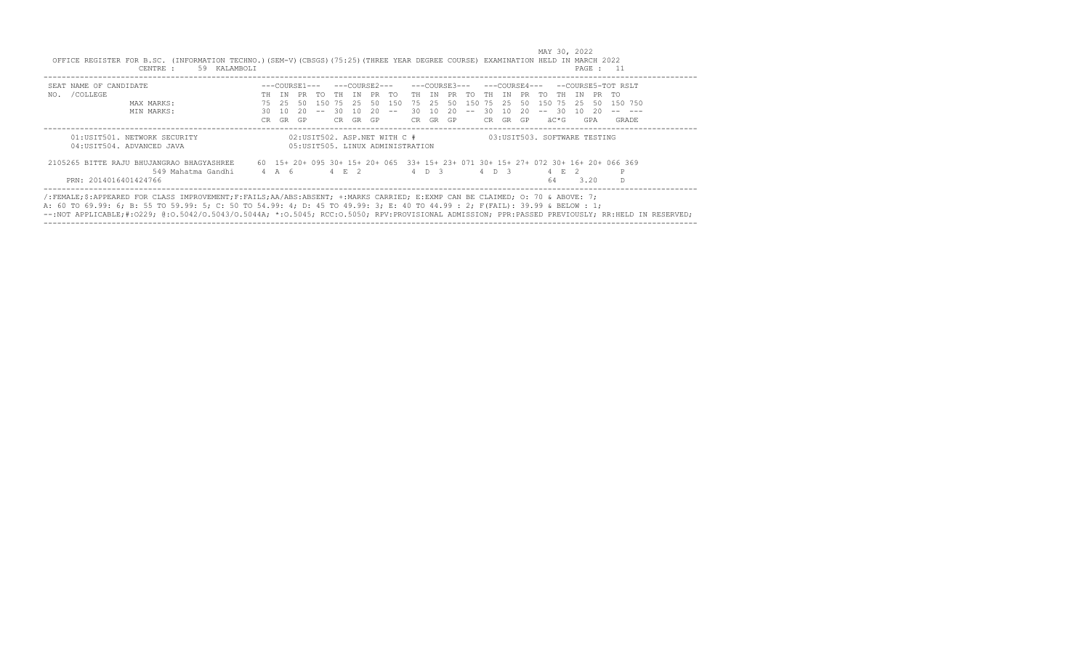| SEAT NAME OF CANDIDATE                    |     |       |     |             |        |    |       |        |          |     |             |       |       |    |     |         |               |      | $---COWRSE3-- ---COWRSE4-- ---COWRSE5-TOT RSI.T$                                   |
|-------------------------------------------|-----|-------|-----|-------------|--------|----|-------|--------|----------|-----|-------------|-------|-------|----|-----|---------|---------------|------|------------------------------------------------------------------------------------|
| NO. / COLLEGE                             | TН  | TN    |     | PR TO TH IN |        |    | PR TO |        |          |     | TH IN PR TO | TH    | TN    | PR | TO. | TH.     | TN            |      | PR TO                                                                              |
| MAX MARKS:                                | 75  | -25   | 50  | 150 75 25   |        |    |       | 50 150 | 75 25    | 50  | 150 75 25   |       |       | 50 |     | 150 75  | 25            | 50   | 150 750                                                                            |
| MIN MARKS:                                | 30  | 10    | 20. | $  \,$      | -30    | 10 | 20    | $- -$  | 30 10    | 20. | $  \,$      | -30   | 10    | 20 |     | $-- 30$ | - 10          | 20   |                                                                                    |
|                                           | CR. | GR    | GP  |             | CR.    | GR | GP.   |        | CR GR GP |     |             | CR –  | GR GP |    |     | äC*G    |               | GPA  | GRADE                                                                              |
| 2105265 BITTE RAJU BHUJANGRAO BHAGYASHREE |     |       |     |             |        |    |       |        |          |     |             |       |       |    |     |         |               |      | 60 15+ 20+ 095 30+ 15+ 20+ 065 33+ 15+ 23+ 071 30+ 15+ 27+ 072 30+ 16+ 20+ 066 369 |
|                                           |     | 4 A 6 |     |             | 4 F. 2 |    |       |        | 4 D 3    |     |             | 4 D 3 |       |    |     |         | $\mathcal{P}$ |      | P                                                                                  |
| 549 Mahatma Gandhi                        |     |       |     |             |        |    |       |        |          |     |             |       |       |    | 64  |         |               | 3.20 |                                                                                    |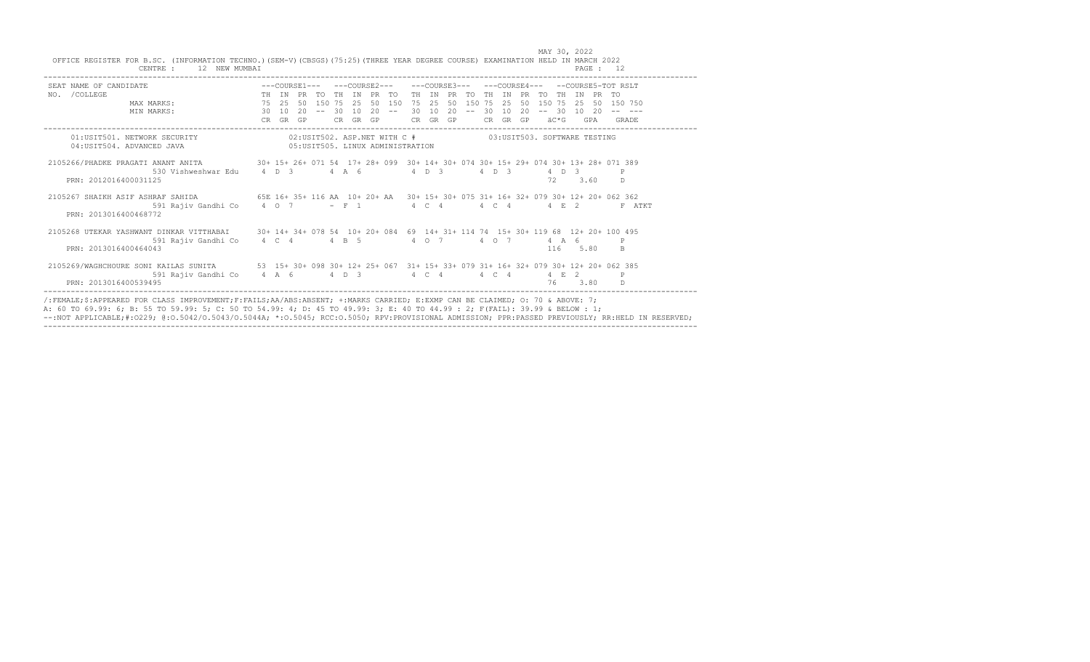| SEAT NAME OF CANDIDATE $---$ COURSE1--- --COURSE2--- --COURSE3--- --COURSE3--- --COURSE4--- --COURSE5-TOT RSLT            |  |  |  |                                                           |  |  |  |  |  |          |    |        |
|---------------------------------------------------------------------------------------------------------------------------|--|--|--|-----------------------------------------------------------|--|--|--|--|--|----------|----|--------|
| NO. / COLLEGE                                                                                                             |  |  |  |                                                           |  |  |  |  |  |          |    |        |
|                                                                                                                           |  |  |  |                                                           |  |  |  |  |  |          |    |        |
|                                                                                                                           |  |  |  |                                                           |  |  |  |  |  |          |    |        |
|                                                                                                                           |  |  |  |                                                           |  |  |  |  |  |          |    |        |
| 01:USIT501. NETWORK SECURITY                                                                                              |  |  |  | 02:USIT502. ASP.NET WITH C # 03:USIT503. SOFTWARE TESTING |  |  |  |  |  |          |    |        |
| 04:USIT504. ADVANCED JAVA (05:USIT505. LINUX ADMINISTRATION                                                               |  |  |  |                                                           |  |  |  |  |  |          |    |        |
| 2105266/PHADKE PRAGATI ANANT ANITA 389 30+ 15+ 26+ 071 54 17+ 28+ 099 30+ 14+ 30+ 074 30+ 15+ 29+ 074 30+ 13+ 28+ 071 389 |  |  |  |                                                           |  |  |  |  |  |          |    |        |
| 530 Vishweshwar Edu    4    0    3    4    A    6    4    0    3    4    0    3    4    0    3    9                       |  |  |  |                                                           |  |  |  |  |  |          |    |        |
| PRN: 2012016400031125                                                                                                     |  |  |  |                                                           |  |  |  |  |  | 72 3.60  | D. |        |
| 2105267 SHAIKH ASIF ASHRAF SAHIDA 65E 16+ 35+ 116 AA 10+ 20+ AA 30+ 15+ 30+ 075 31+ 16+ 32+ 079 30+ 12+ 20+ 062 362       |  |  |  |                                                           |  |  |  |  |  |          |    |        |
| 591 Rajiv Gandhi Co $4$ O $7$ - F 1 $4$ C $4$ $4$ C $4$ $4$ C $4$ $4$ E 2                                                 |  |  |  |                                                           |  |  |  |  |  |          |    | F ATKT |
| PRN: 2013016400468772                                                                                                     |  |  |  |                                                           |  |  |  |  |  |          |    |        |
| 2105268 UTEKAR YASHWANT DINKAR VITTHABAI 30+ 14+ 34+ 078 54 10+ 20+ 084 69 14+ 31+ 114 74 15+ 30+ 119 68 12+ 20+ 100 495  |  |  |  |                                                           |  |  |  |  |  |          |    |        |
|                                                                                                                           |  |  |  |                                                           |  |  |  |  |  |          |    |        |
| PRN: 2013016400464043                                                                                                     |  |  |  |                                                           |  |  |  |  |  | 116 5.80 | B. |        |
| 2105269/WAGHCHOURE SONI KAILAS SUNITA 53 15+ 30+ 098 30+ 12+ 25+ 067 31+ 15+ 33+ 079 31+ 16+ 32+ 079 30+ 12+ 20+ 062 385  |  |  |  |                                                           |  |  |  |  |  |          |    |        |
| 591 Rajiv Gandhi Co    4    A    6    4    D    3    4    C    4    4    C    4    4    E    2    P                       |  |  |  |                                                           |  |  |  |  |  |          |    |        |
| PRN: 2013016400539495                                                                                                     |  |  |  |                                                           |  |  |  |  |  | 76 3.80  |    |        |

MAY 30, 2022 OFFICE REGISTER FOR B.SC. (INFORMATION TECHNO.)(SEM-V)(CBSGS)(75:25)(THREE YEAR DEGREE COURSE) EXAMINATION HELD IN MARCH 2022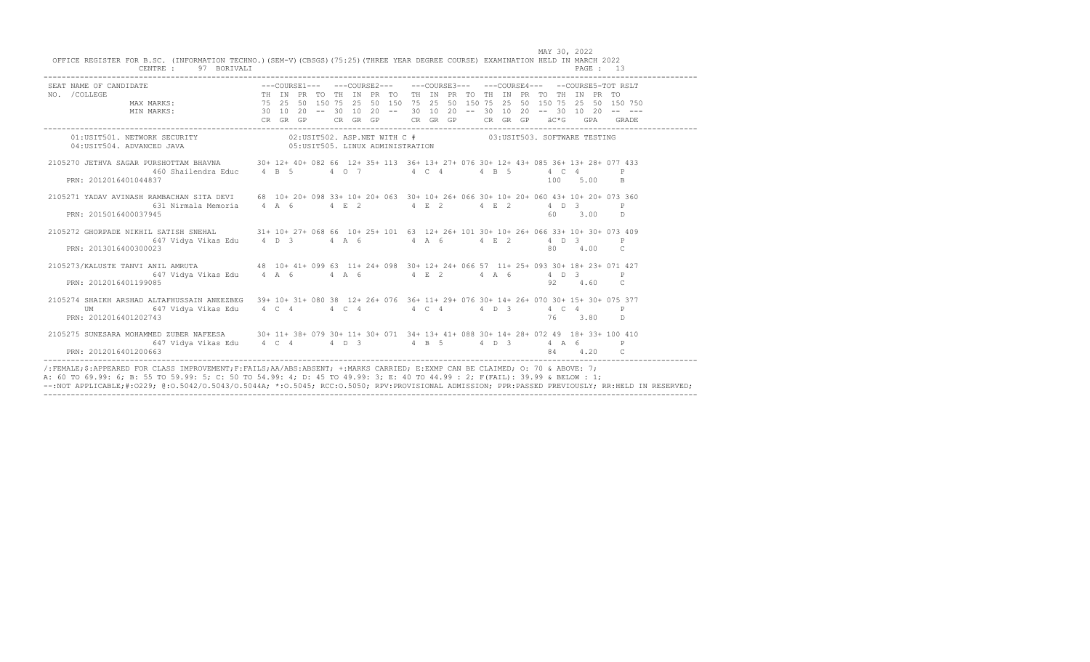| SEAT NAME OF CANDIDATE<br>NO. /COLLEGE MAX MARKS: THE IN PRETORED 100. THE IN PRETORE THE IN PRETORE MO. AND THE IN PRETORE MAX MARKS: THE IN PRETORE 25 50 150 75 25 50 150 75 25 50 150 750 150 750 1650 750 169 160 1750 176 1 |  |  |  |  |  |  |  |  |         |          |                |
|-----------------------------------------------------------------------------------------------------------------------------------------------------------------------------------------------------------------------------------|--|--|--|--|--|--|--|--|---------|----------|----------------|
|                                                                                                                                                                                                                                   |  |  |  |  |  |  |  |  |         |          |                |
|                                                                                                                                                                                                                                   |  |  |  |  |  |  |  |  |         |          |                |
|                                                                                                                                                                                                                                   |  |  |  |  |  |  |  |  |         |          |                |
| $02:USTTS01. \hbox{ NETWORK SECURITY}$ $02:USTTS02. \hbox{ ASP.NET WITH C } \#$ $03:USTTS03. \hbox{ SCTRARE TESTING}$ $04:USTTS04. \hbox{ADYANCED JAVA}$                                                                          |  |  |  |  |  |  |  |  |         |          |                |
|                                                                                                                                                                                                                                   |  |  |  |  |  |  |  |  |         |          |                |
| 2105270 JETHVA SAGAR PURSHOTTAM BHAVNA 30+ 12+ 40+ 082 66 12+ 35+ 113 36+ 13+ 27+ 076 30+ 12+ 43+ 085 36+ 13+ 28+ 077 433                                                                                                         |  |  |  |  |  |  |  |  |         |          |                |
| $460$ Shailendra Educ $4$ B 5 $4$ O 7 $4$ C $4$ $4$ B 5                                                                                                                                                                           |  |  |  |  |  |  |  |  |         | 4 C 4    |                |
| PRN: 2012016401044837                                                                                                                                                                                                             |  |  |  |  |  |  |  |  |         | 100 5.00 | B.             |
| 2105271 YADAV AVINASH RAMBACHAN SITA DEVI 68 10+ 20+ 098 33+ 10+ 20+ 063 30+ 10+ 26+ 066 30+ 10+ 20+ 060 43+ 10+ 20+ 073 360                                                                                                      |  |  |  |  |  |  |  |  |         |          |                |
| 631 Nirmala Memoria 4 A 6 4 E 2 4 E 2 4 E 2 4 D 3                                                                                                                                                                                 |  |  |  |  |  |  |  |  |         |          |                |
| PRN: 2015016400037945                                                                                                                                                                                                             |  |  |  |  |  |  |  |  |         |          | 60 3.00 D      |
| 2105272 GHORPADE NIKHIL SATISH SNEHAL 31+ 10+ 27+ 068 66 10+ 25+ 101 63 12+ 26+ 101 30+ 10+ 26+ 066 33+ 10+ 30+ 073 409                                                                                                           |  |  |  |  |  |  |  |  |         |          |                |
|                                                                                                                                                                                                                                   |  |  |  |  |  |  |  |  |         |          |                |
| PRN: 2013016400300023                                                                                                                                                                                                             |  |  |  |  |  |  |  |  | 80 4.00 |          | $\overline{c}$ |
| 2105273/KALUSTE TANVI ANIL AMRUTA 48 10+ 41+ 099 63 11+ 24+ 098 30+ 12+ 24+ 066 57 11+ 25+ 093 30+ 18+ 23+ 071 427                                                                                                                |  |  |  |  |  |  |  |  |         |          |                |
| 647 Vidya Vikas Edu 4 A 6 4 A 6 4 A 6 4 A 6 4 A 6 4 D 3 P                                                                                                                                                                         |  |  |  |  |  |  |  |  |         |          |                |
| PRN: 2012016401199085                                                                                                                                                                                                             |  |  |  |  |  |  |  |  |         |          | 92   4.60   C  |
| 2105274 SHAIKH ARSHAD ALTAFHUSSAIN ANEEZBEG 39+ 10+ 31+ 080 38 12+ 26+ 076 36+ 11+ 29+ 076 30+ 14+ 26+ 070 30+ 15+ 30+ 075 377                                                                                                    |  |  |  |  |  |  |  |  |         |          |                |
| UM 647 Vidya Vikas Edu 4 C 4 4 C 4 4 C 4 4 4 C 4 4 D 3 4 C 4 P                                                                                                                                                                    |  |  |  |  |  |  |  |  |         |          |                |
| PRN: 2012016401202743                                                                                                                                                                                                             |  |  |  |  |  |  |  |  |         |          | 76 3.80 D      |
| 2105275 SUNESARA MOHAMMED ZUBER NAFEESA 30+ 11+ 38+ 079 30+ 11+ 30+ 071 34+ 13+ 41+ 088 30+ 14+ 28+ 072 49 18+ 33+ 100 410                                                                                                        |  |  |  |  |  |  |  |  |         |          |                |
|                                                                                                                                                                                                                                   |  |  |  |  |  |  |  |  |         |          |                |
| PRN: 2012016401200663                                                                                                                                                                                                             |  |  |  |  |  |  |  |  |         | 84 4.20  | C.             |

|                                                                                                                                   |             |  |  |  |  |  | MAY 30, 2022 |  |
|-----------------------------------------------------------------------------------------------------------------------------------|-------------|--|--|--|--|--|--------------|--|
| OFFICE REGISTER FOR B.SC. (INFORMATION TECHNO.) (SEM-V) (CBSGS) (75:25) (THREE YEAR DEGREE COURSE) EXAMINATION HELD IN MARCH 2022 |             |  |  |  |  |  |              |  |
| CENTRE :                                                                                                                          | 97 BORIVALI |  |  |  |  |  | PAGE : 13    |  |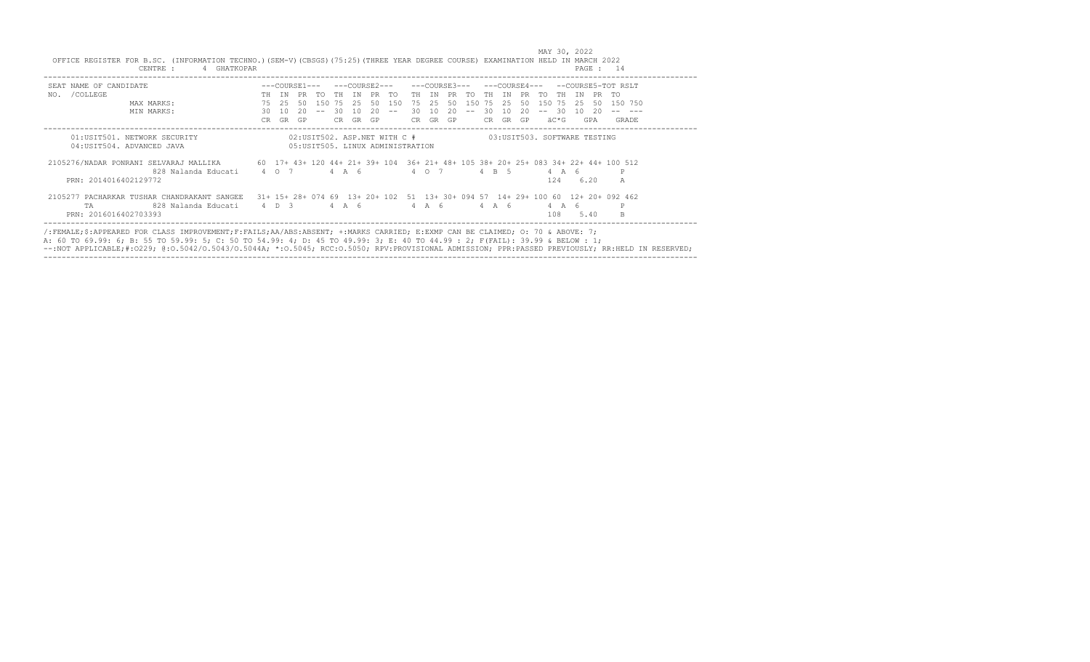| SEAT NAME OF CANDIDATE                                                                                                    |    |             |       |            |    |             |    |                                                           |          |                  |       |    |          |     | ---COURSE4---          |       |       |       | --COURSE5-TOT RSLT                                                              |
|---------------------------------------------------------------------------------------------------------------------------|----|-------------|-------|------------|----|-------------|----|-----------------------------------------------------------|----------|------------------|-------|----|----------|-----|------------------------|-------|-------|-------|---------------------------------------------------------------------------------|
| NO. / COLLEGE                                                                                                             |    | TH TN       | PR TO |            |    | TH IN PR TO |    |                                                           | TH TN    | PR TO THIN PR TO |       |    |          |     |                        | TH.   | TN    | PR    | TO.                                                                             |
| MAX MARKS:                                                                                                                | 75 | - 25.       | 50    |            |    |             |    | 150 75 25 50 150                                          | 75 25    |                  |       |    |          |     | 50 150 75 25 50 150 75 |       | - 25. |       | 50 150 750                                                                      |
| MIN MARKS:                                                                                                                | 30 | 10          | 20    | $\sim$ $-$ | 30 | 10          | 20 | $- -$                                                     | 30 10    | 20               | $- -$ | 30 | 10       | 20. | $- -$                  | - 30  |       | 10 20 |                                                                                 |
|                                                                                                                           | CR | GR          | GP    |            | CR | GR          | GP |                                                           | CR GR GP |                  |       |    | CR GR GP |     |                        | äC*G  |       | GPA   | GRADE                                                                           |
| 01:USIT501. NETWORK SECURITY                                                                                              |    |             |       |            |    |             |    | 02:USIT502. ASP.NET WITH C # 03:USIT503. SOFTWARE TESTING |          |                  |       |    |          |     |                        |       |       |       |                                                                                 |
| 04: USIT504. ADVANCED JAVA                                                                                                |    |             |       |            |    |             |    | 05: USIT505. LINUX ADMINISTRATION                         |          |                  |       |    |          |     |                        |       |       |       |                                                                                 |
| 2105276/NADAR PONRANI SELVARAJ MALLIKA 60 17+ 43+ 120 44+ 21+ 39+ 104 36+ 21+ 48+ 105 38+ 20+ 25+ 083 34+ 22+ 44+ 100 512 |    |             |       |            |    |             |    |                                                           |          |                  |       |    |          |     |                        |       |       |       |                                                                                 |
| 828 Nalanda Educati                                                                                                       |    | 4 0 7 4 A 6 |       |            |    |             |    |                                                           |          | 4 0 7            |       |    | 4 B 5    |     |                        | 4 A 6 |       |       | P                                                                               |
| PRN: 2014016402129772                                                                                                     |    |             |       |            |    |             |    |                                                           |          |                  |       |    |          |     |                        | 124   | 6.20  |       | A                                                                               |
| 2105277 PACHARKAR TUSHAR CHANDRAKANT SANGEE                                                                               |    |             |       |            |    |             |    |                                                           |          |                  |       |    |          |     |                        |       |       |       | 31+ 15+ 28+ 074 69 13+ 20+ 102 51 13+ 30+ 094 57 14+ 29+ 100 60 12+ 20+ 092 462 |
| 828 Nalanda Educati<br>TA.                                                                                                |    | 4 D 3       |       |            |    | 4 A 6       |    |                                                           | 4 A 6    |                  |       |    | 4 A 6    |     |                        | 4 A 6 |       |       | P                                                                               |
| PRN: 2016016402703393                                                                                                     |    |             |       |            |    |             |    |                                                           |          |                  |       |    |          |     |                        | 108   |       | 5.40  | B.                                                                              |

A: 60 TO 69.99: 6; B: 55 TO 59.99: 5; C: 50 TO 54.99: 4; D: 45 TO 49.99: 3; E: 40 TO 44.99 : 2; F(FAIL): 39.99 & BELOW : 1;<br>--:NOT APPLICABLE;#:O229; @:O.5042/O.5043/O.5044A; \*:O.5045; RCC:O.5050; RPV:PROVISIONAL ADMISSION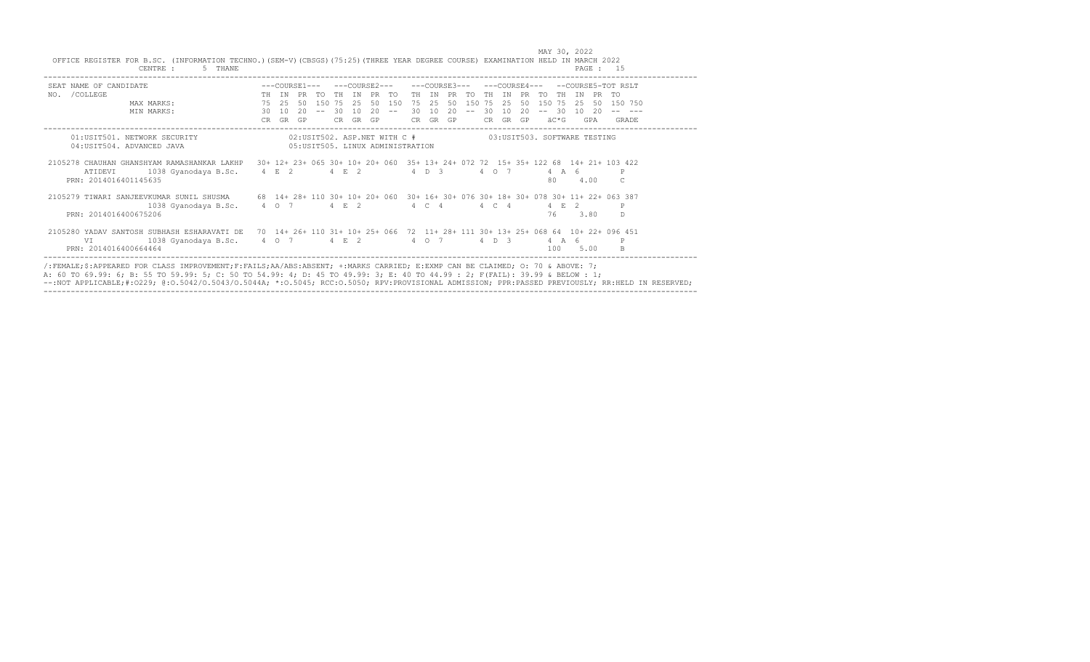| SEAT NAME OF CANDIDATE                                     |           |          | $---COTRSE1---$ |       |           |    |                  | ---COURSE2---                                                     |           | ---COURSE3---     |                       |        |       |                     | $---COTIRSR4---$ |                              |            |               |            | $-$ -COURSE5-TOT RSLT                                                              |
|------------------------------------------------------------|-----------|----------|-----------------|-------|-----------|----|------------------|-------------------------------------------------------------------|-----------|-------------------|-----------------------|--------|-------|---------------------|------------------|------------------------------|------------|---------------|------------|------------------------------------------------------------------------------------|
| /COLLEGE<br>NO.                                            | <b>TH</b> | TN       | PR.             | TO.   | <b>TH</b> | TN | PR TO            |                                                                   | TH        | TN                | PR                    | TO.    | TH.   | TN.                 | PR.              | TO                           | TH.        | TN            | <b>PR</b>  | - TO                                                                               |
| MAX MARKS:                                                 | 75        | 2.5      | 50              |       |           |    | 150 75 25 50 150 |                                                                   | 75        | 2.5               | 50                    | 150 75 |       | 2.5                 | 50               | 150 75                       |            | 2.5           | 50         | 150 750                                                                            |
| MIN MARKS:                                                 | 30<br>CR. | 10<br>GR | 20<br>GP.       | $- -$ | 30<br>CR. | 10 | 20<br>GR GP      | $- -$                                                             | 30<br>CR. | 10                | $20^{\circ}$<br>GR GP | $- -$  | 30    | 10                  | 20<br>CR GR GP   | $--$                         | 30<br>äC*G | 1 N           | -20<br>GPA | GRADE                                                                              |
| 01:USIT501. NETWORK SECURITY<br>04: USIT504. ADVANCED JAVA |           |          |                 |       |           |    |                  | 02:USIT502. ASP.NET WITH C #<br>05: USIT505. LINUX ADMINISTRATION |           |                   |                       |        |       |                     |                  | 03:USIT503. SOFTWARE TESTING |            |               |            |                                                                                    |
| 2105278 CHAUHAN GHANSHYAM RAMASHANKAR LAKHP                |           |          |                 |       |           |    |                  |                                                                   |           |                   |                       |        |       |                     |                  |                              |            |               |            | 30+ 12+ 23+ 065 30+ 10+ 20+ 060 35+ 13+ 24+ 072 72 15+ 35+ 122 68 14+ 21+ 103 422  |
| 1038 Gyanodaya B.Sc. 4 E 2 4 E 2<br>ATIDEVI                |           |          |                 |       |           |    |                  |                                                                   |           | $4\quad D\quad 3$ |                       |        |       | $4 \quad 0 \quad 7$ |                  |                              |            | 4 A 6         |            |                                                                                    |
| PRN: 2014016401145635                                      |           |          |                 |       |           |    |                  |                                                                   |           |                   |                       |        |       |                     |                  | 80                           |            |               | 4.00       | C.                                                                                 |
| 2105279 TIWARI SANJEEVKUMAR SUNIL SHUSMA                   |           |          |                 |       |           |    |                  |                                                                   |           |                   |                       |        |       |                     |                  |                              |            |               |            | 68 14+ 28+ 110 30+ 10+ 20+ 060 30+ 16+ 30+ 076 30+ 18+ 30+ 078 30+ 11+ 22+ 063 387 |
| 1038 Gyanodaya B.Sc.                                       | 4 0 7     |          |                 |       | 4 E 2     |    |                  |                                                                   |           | 4 C 4             |                       |        | 4 C 4 |                     |                  |                              | 4 F.       | $\mathcal{L}$ |            | $_{\rm P}$                                                                         |
| PRN: 2014016400675206                                      |           |          |                 |       |           |    |                  |                                                                   |           |                   |                       |        |       |                     |                  | 76                           |            | 3.80          |            | <sup>D</sup>                                                                       |
| 2105280 YADAV SANTOSH SUBHASH ESHARAVATI DE                |           |          |                 |       |           |    |                  |                                                                   |           |                   |                       |        |       |                     |                  |                              |            |               |            | 70 14+ 26+ 110 31+ 10+ 25+ 066 72 11+ 28+ 111 30+ 13+ 25+ 068 64 10+ 22+ 096 451   |
| 1038 Gyanodaya B.Sc.<br>VI                                 |           | 4 0 7    |                 |       | 4 E 2     |    |                  |                                                                   |           | 4 0 7             |                       |        |       | $4\quad D\quad 3$   |                  |                              | 4 A 6      |               |            | P                                                                                  |
| PRN: 2014016400664464                                      |           |          |                 |       |           |    |                  |                                                                   |           |                   |                       |        |       |                     |                  |                              | 100        |               | 5.00       |                                                                                    |

 MAY 30, 2022 OFFICE REGISTER FOR B.SC. (INFORMATION TECHNO.)(SEM-V)(CBSGS)(75:25)(THREE YEAR DEGREE COURSE) EXAMINATION HELD IN MARCH 2022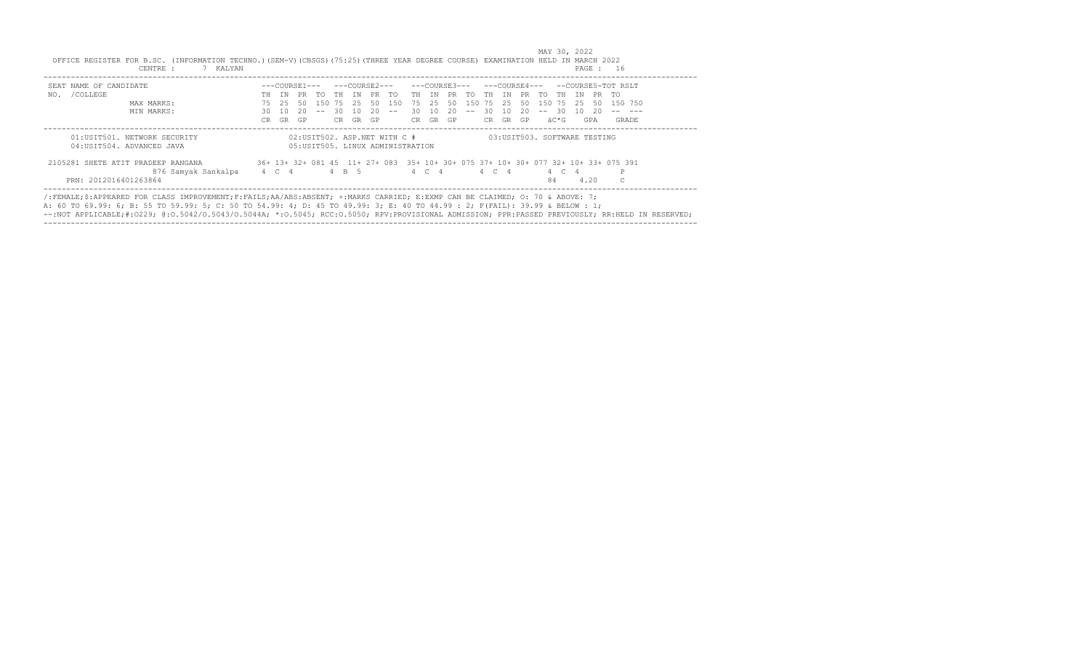| SEAT NAME OF CANDIDATE                                     |     |       |     |        |     |                  |    |                                                                   |       |          |    |                   |       |       |     |                              |       |       |      | ---COURSE3--- ---COURSE4--- --COURSE5-TOT RSLT                                     |
|------------------------------------------------------------|-----|-------|-----|--------|-----|------------------|----|-------------------------------------------------------------------|-------|----------|----|-------------------|-------|-------|-----|------------------------------|-------|-------|------|------------------------------------------------------------------------------------|
| NO. / COLLEGE                                              |     | TH TN |     |        |     | PR TO THIN PR TO |    |                                                                   |       |          |    | TH IN PR TO TH IN |       |       |     | PR TO THIN PR TO             |       |       |      |                                                                                    |
| MAX MARKS:                                                 | 75  | 25    | -50 |        |     | 150 75 25 50 150 |    |                                                                   |       | 75 25 50 |    | 150 75 25         |       |       | 50  | 150 75 25                    |       |       | - 50 | 150 750                                                                            |
| MIN MARKS:                                                 | 30. | 10    | 20. | $  \,$ | 30  | 10               | 20 | $\sim$ $-$                                                        | 30 10 |          | 20 | $- -$             | -30   | 10    | 20. | $-- 30$                      |       | 10 20 |      |                                                                                    |
|                                                            | CR. | GR    | GP  |        | CR. | GR GP            |    |                                                                   |       | CR GR GP |    |                   | CR .  | GR GP |     |                              | äC*G  |       | GPA  | GRADE                                                                              |
| 01:USIT501. NETWORK SECURITY<br>04: USIT504. ADVANCED JAVA |     |       |     |        |     |                  |    | 02:USIT502. ASP.NET WITH C #<br>05: USIT505. LINUX ADMINISTRATION |       |          |    |                   |       |       |     | 03:USIT503. SOFTWARE TESTING |       |       |      |                                                                                    |
|                                                            |     |       |     |        |     |                  |    |                                                                   |       |          |    |                   |       |       |     |                              |       |       |      |                                                                                    |
| 2105281 SHETE ATIT PRADEEP RANGANA                         |     |       |     |        |     |                  |    |                                                                   |       |          |    |                   |       |       |     |                              |       |       |      | 36+ 13+ 32+ 081 45 11+ 27+ 083 35+ 10+ 30+ 075 37+ 10+ 30+ 077 32+ 10+ 33+ 075 391 |
| 876 Samyak Sankalpa                                        |     | 4 C 4 |     |        |     | 4 B 5            |    |                                                                   |       | 4 C 4    |    |                   | 4 C 4 |       |     |                              | 4 C 4 |       |      | P                                                                                  |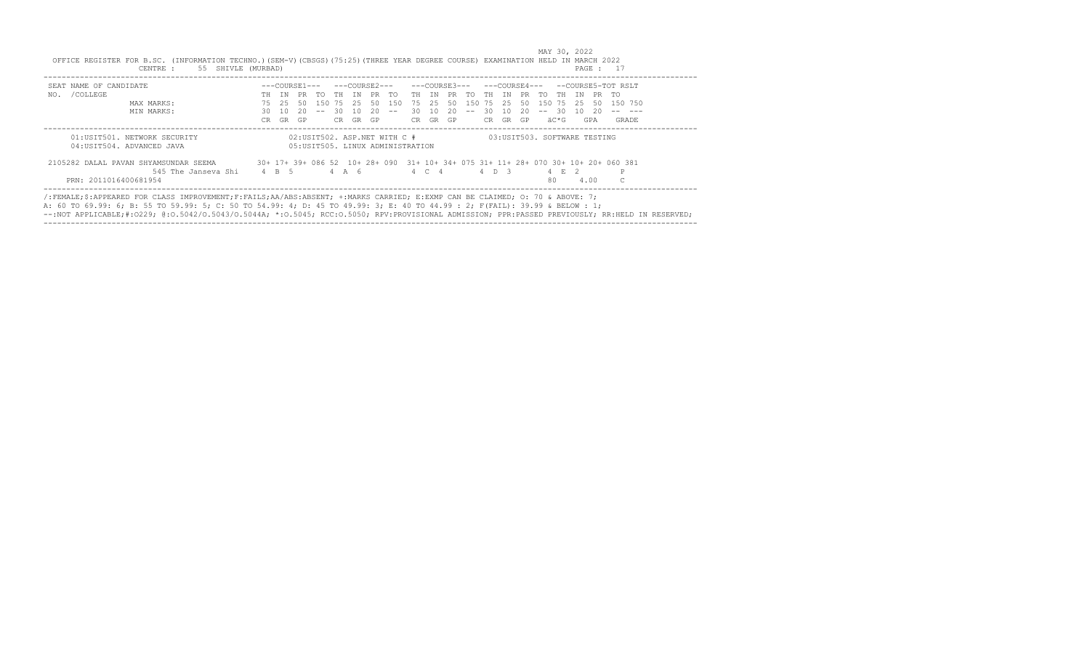| SEAT NAME OF CANDIDATE                                     |     |       |       |                  |     |       |    |                                                                   |       |          |     |                   |       |       |     |           |         |                              | ---COURSE3--- ---COURSE4--- --COURSE5-TOT RSLT                                     |
|------------------------------------------------------------|-----|-------|-------|------------------|-----|-------|----|-------------------------------------------------------------------|-------|----------|-----|-------------------|-------|-------|-----|-----------|---------|------------------------------|------------------------------------------------------------------------------------|
| NO. / COLLEGE                                              | TH  | TN    |       | PR TO THIN PR TO |     |       |    |                                                                   |       |          |     | TH IN PR TO TH IN |       |       |     | PR TO     | TH TN   | PR TO                        |                                                                                    |
| MAX MARKS:                                                 | 75  | - 25. |       |                  |     |       |    | 50 150 75 25 50 150                                               | 75 25 |          | 50  | 150 75 25         |       |       | 50  | 150 75 25 |         | 50                           | 150 750                                                                            |
| MIN MARKS:                                                 | 30  | - 10  | - 20- | $\sim$ $-$       |     | 30 10 | 20 | $- -$                                                             | 30 10 |          | -20 | $- -$             | -30   | - 10  | 20. |           | $-- 30$ | 10 20                        |                                                                                    |
|                                                            | CR. | GR    | GP    |                  | CR. | GR GP |    |                                                                   |       | CR GR GP |     |                   | CR.   | GR GP |     |           | äC*G    | GPA                          | GRADE                                                                              |
| 01:USIT501. NETWORK SECURITY<br>04: USIT504. ADVANCED JAVA |     |       |       |                  |     |       |    | 02:USIT502. ASP.NET WITH C #<br>05: USIT505. LINUX ADMINISTRATION |       |          |     |                   |       |       |     |           |         | 03:USIT503. SOFTWARE TESTING |                                                                                    |
| 2105282 DALAL PAVAN SHYAMSUNDAR SEEMA                      |     |       |       |                  |     |       |    |                                                                   |       |          |     |                   |       |       |     |           |         |                              | 30+ 17+ 39+ 086 52 10+ 28+ 090 31+ 10+ 34+ 075 31+ 11+ 28+ 070 30+ 10+ 20+ 060 381 |
| 545 The Janseya Shi 4 B 5                                  |     |       |       |                  |     | 4 A 6 |    |                                                                   |       | 4 C 4    |     |                   | 4 D 3 |       |     |           | 4 F. 2  |                              |                                                                                    |
| PRN: 2011016400681954                                      |     |       |       |                  |     |       |    |                                                                   |       |          |     |                   |       |       |     | 80.       |         | 4.00                         |                                                                                    |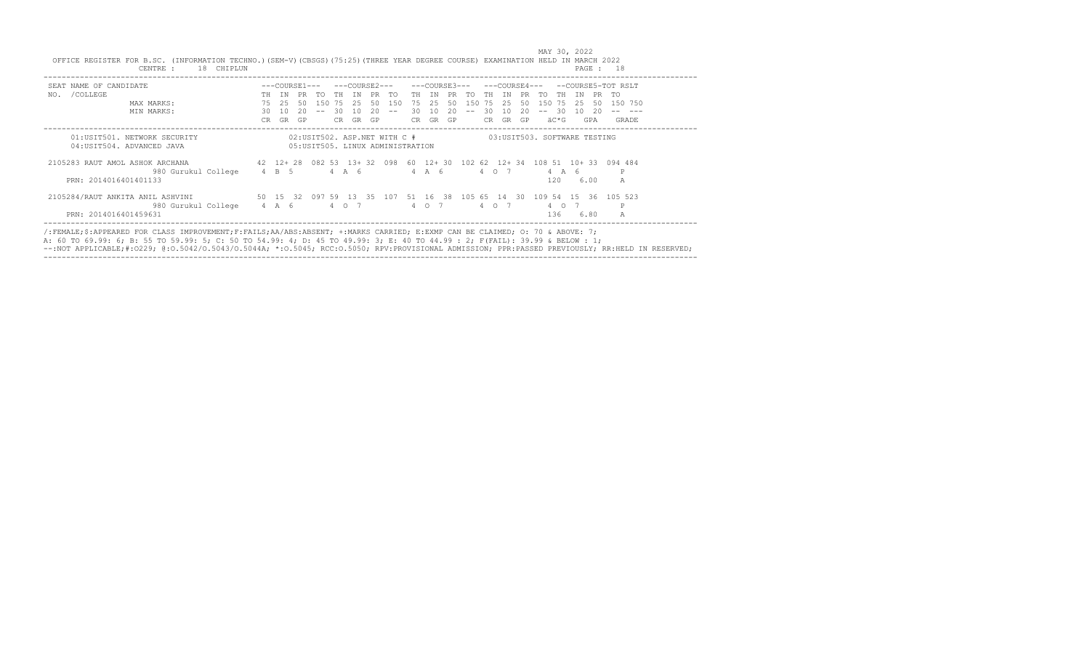|                                                               | 18 CHIPLUN         |               |     |        |       |           |                                   |     |               |     |     |          |                 |    |                              |       |      | PAGE : 18                                                                 |
|---------------------------------------------------------------|--------------------|---------------|-----|--------|-------|-----------|-----------------------------------|-----|---------------|-----|-----|----------|-----------------|----|------------------------------|-------|------|---------------------------------------------------------------------------|
| SEAT NAME OF CANDIDATE                                        |                    | ---COURSE1--- |     |        |       |           | ---COURSE2---                     |     | ---COURSE3--- |     |     |          | $---COVRSE4---$ |    |                              |       |      | --COURSE5-TOT RSLT                                                        |
| /COLLEGE<br>NO.                                               | TН                 | TN            | PR. | TO.    | TH.   | TN        | <b>PR</b><br>TO.                  | TH  | TN            |     | TO. | TН       | TN              |    | TO<br>TН                     | T N   | PR.  | TO                                                                        |
| MAX MARKS:                                                    | 75                 | 2.5           | 50  | 150 75 |       | -25       | 50<br>150                         | 75  | -25           | 50. | 150 | 75       | - 25            | 50 | 150 75                       | -25.  | -50  | 150 750                                                                   |
| MIN MARKS:                                                    | 30                 | 1 O           | 20  |        | 30    | 10        | 20<br>$ -$                        | 30  | 1 O           | 20  |     | 30       | 10              | 20 | -30                          | 1 O   | -20  |                                                                           |
|                                                               | CR.                | <b>GR</b>     | GP  |        | CR.   | <b>GR</b> | GP                                | CR. | GR            | GP  |     | CR.      | GR              | GP | äC*G                         |       | GPA  | GRADE                                                                     |
| 04: USIT504. ADVANCED JAVA<br>2105283 RAUT AMOL ASHOK ARCHANA |                    |               |     |        |       |           | 05: USIT505. LINUX ADMINISTRATION |     |               |     |     |          |                 |    |                              |       |      | 42 12+ 28 082 53 13+ 32 098 60 12+ 30 102 62 12+ 34 108 51 10+ 33 094 484 |
| 980 Gurukul College 4 B 5<br>PRN: 2014016401401133            |                    |               |     |        | 4 A 6 |           |                                   |     | 4 A 6         |     |     | 4 0 7    |                 |    | 120                          | 4 A 6 | 6.00 | A                                                                         |
| 2105284/RAUT ANKITA ANIL ASHVINI                              | 50 15 32 097 59 13 |               |     |        |       | $-35$     | 107                               |     |               |     |     |          |                 |    | 51 16 38 105 65 14 30 109 54 | 1536  |      | 105 523                                                                   |
| 980 Gurukul College 4 A 6                                     |                    |               |     |        | 4 0 7 |           |                                   |     | 4 0 7         |     |     | $4\circ$ |                 |    | 4 0                          |       |      | P                                                                         |
| PRN: 2014016401459631                                         |                    |               |     |        |       |           |                                   |     |               |     |     |          |                 |    | 136                          |       | 6.80 | $\mathbb{A}$                                                              |

A: 60 TO 69.99: 6; B: 55 TO 59.99: 5; C: 50 TO 54.99: 4; D: 45 TO 49.99: 3; E: 40 TO 44.99 : 2; F(FAIL): 39.99 & BELOW : 1; --:NOT APPLICABLE;#:O229; @:O.5042/O.5043/O.5044A; \*:O.5045; RCC:O.5050; RPV:PROVISIONAL ADMISSION; PPR:PASSED PREVIOUSLY; RR:HELD IN RESERVED; ------------------------------------------------------------------------------------------------------------------------------------------------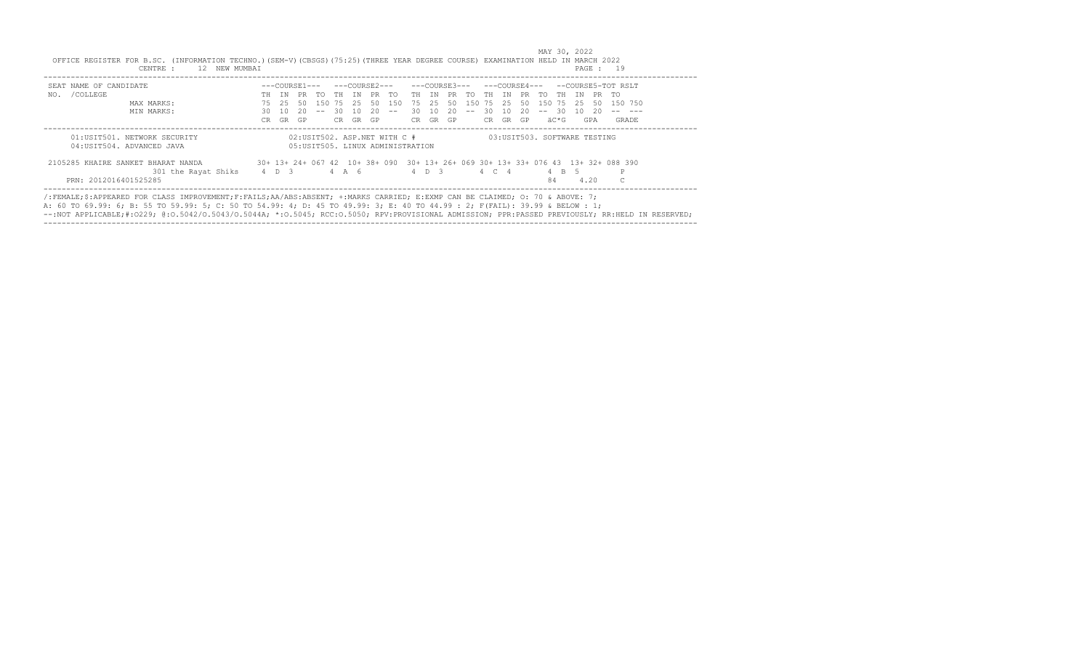| SEAT NAME OF CANDIDATE                                     |       |      |     | ---COURSE1--- |       |      |     | ---COURSE2---                                                     |     |       | ---COURSE3--- |             |       |     |     |                              |           |      | ---COURSE4--- --COURSE5-TOT RSLT                                                  |
|------------------------------------------------------------|-------|------|-----|---------------|-------|------|-----|-------------------------------------------------------------------|-----|-------|---------------|-------------|-------|-----|-----|------------------------------|-----------|------|-----------------------------------------------------------------------------------|
| NO. / COLLEGE                                              | TН    | TN   | PR  | TO.           | TH TN |      | PR. | TO.                                                               | TH. | TN    | PR.           | TO.         | TH    | TN  | PR  | TO.                          | TH<br>T N |      | PR TO                                                                             |
| MAX MARKS:                                                 | 75    | -2.5 | -50 | 1.50          | 75    | - 25 | 50  | 150                                                               | 75  | 2.5   | 50            | 150         | 75    | -25 | 50  | 150                          | 75<br>-25 | -50  | 150 750                                                                           |
| MIN MARKS:                                                 | 30    | -10  | 20  |               | 30.   | 1 N  | 20  | $ -$                                                              | 30. | 10    | 20            | $- \, - \,$ | 30    | -10 | 20. | - 30<br>$- -$                | 1 N       | 20   |                                                                                   |
|                                                            | CR.   | GR   | GP  |               | CR.   | GR   | GP. |                                                                   | CR. | GR GP |               |             | CR    | GR  | GP  | äC*G                         |           | GPA  | GRADE                                                                             |
| 01:USIT501. NETWORK SECURITY<br>04: USIT504. ADVANCED JAVA |       |      |     |               |       |      |     | 02:USIT502. ASP.NET WITH C #<br>05: USIT505. LINUX ADMINISTRATION |     |       |               |             |       |     |     | 03:USIT503. SOFTWARE TESTING |           |      |                                                                                   |
|                                                            |       |      |     |               |       |      |     |                                                                   |     |       |               |             |       |     |     |                              |           |      |                                                                                   |
| 2105285 KHAIRE SANKET BHARAT NANDA                         |       |      |     |               |       |      |     |                                                                   |     |       |               |             |       |     |     |                              |           |      | 30+ 13+ 24+ 067 42 10+ 38+ 090 30+ 13+ 26+ 069 30+ 13+ 33+ 076 43 13+ 32+ 088 390 |
| 301 the Rayat Shiks                                        | 4 D 3 |      |     | 4 A 6         |       |      |     |                                                                   |     |       | 4 D 3         |             | 4 C 4 |     |     |                              | 4 B 5     |      |                                                                                   |
| PRN: 2012016401525285                                      |       |      |     |               |       |      |     |                                                                   |     |       |               |             |       |     |     | 84                           |           | 4.20 |                                                                                   |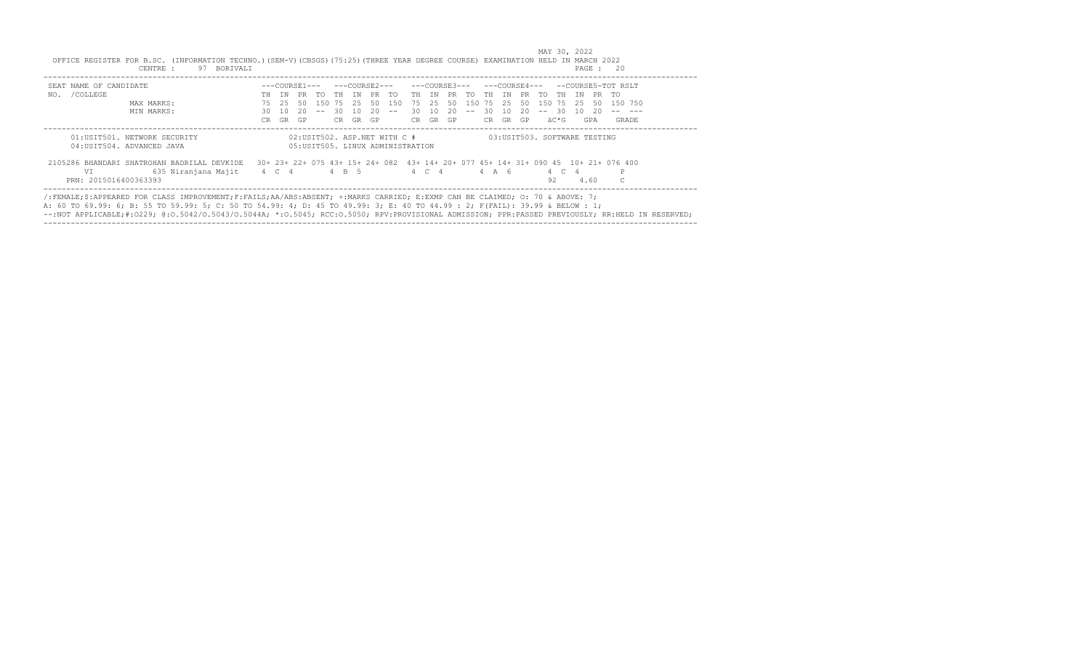| SEAT NAME OF CANDIDATE                      |       |       |                  |            |       |          |                                   |       |       | ---COURSE3--- |            |       |       |             |           |         |    |       | ---COURSE4--- --COURSE5-TOT RSLT                                                   |  |
|---------------------------------------------|-------|-------|------------------|------------|-------|----------|-----------------------------------|-------|-------|---------------|------------|-------|-------|-------------|-----------|---------|----|-------|------------------------------------------------------------------------------------|--|
| NO. / COLLEGE                               | TH.   | TN    | PR TO THIN PR TO |            |       |          |                                   | TH TN |       | PR TO         |            |       |       | TH IN PR TO |           | TH TN   |    | PR TO |                                                                                    |  |
| MAX MARKS:                                  | 75    | - 25. | -50              | 150        |       |          | 75 25 50 150                      | 75 25 |       | 50            | 150        | 75 25 |       | 50          | 150 75 25 |         |    | -50   | 150 750                                                                            |  |
| MIN MARKS:                                  | 30.   | 10    | 20.              | $\sim$ $-$ |       | 30 10 20 | $  \,$                            | 30 10 |       | 20            | $\sim$ $-$ | -30-  | 10    | - 20        |           | $-- 30$ | 10 | - 20  |                                                                                    |  |
|                                             | CR.   | GR    | GP               |            |       | CR GR GP |                                   | CR    | GR GP |               |            | CR.   | GR GP |             |           | äC*G    |    | GPA   | GRADE                                                                              |  |
| 04:USIT504, ADVANCED JAVA                   |       |       |                  |            |       |          | 05: USIT505. LINUX ADMINISTRATION |       |       |               |            |       |       |             |           |         |    |       |                                                                                    |  |
| 2105286 BHANDARI SHATROHAN BADRILAL DEVKIDE |       |       |                  |            |       |          |                                   |       |       |               |            |       |       |             |           |         |    |       | 30+ 23+ 22+ 075 43+ 15+ 24+ 082 43+ 14+ 20+ 077 45+ 14+ 31+ 090 45 10+ 21+ 076 400 |  |
| 635 Niranjana Majit<br>VT.                  | 4 C 4 |       |                  |            | 4 B 5 |          |                                   |       | 4 C 4 |               |            | 4 A 6 |       |             |           | 4 C     |    |       |                                                                                    |  |
|                                             |       |       |                  |            |       |          |                                   |       |       |               |            |       |       |             | 92        |         |    | 4.60  |                                                                                    |  |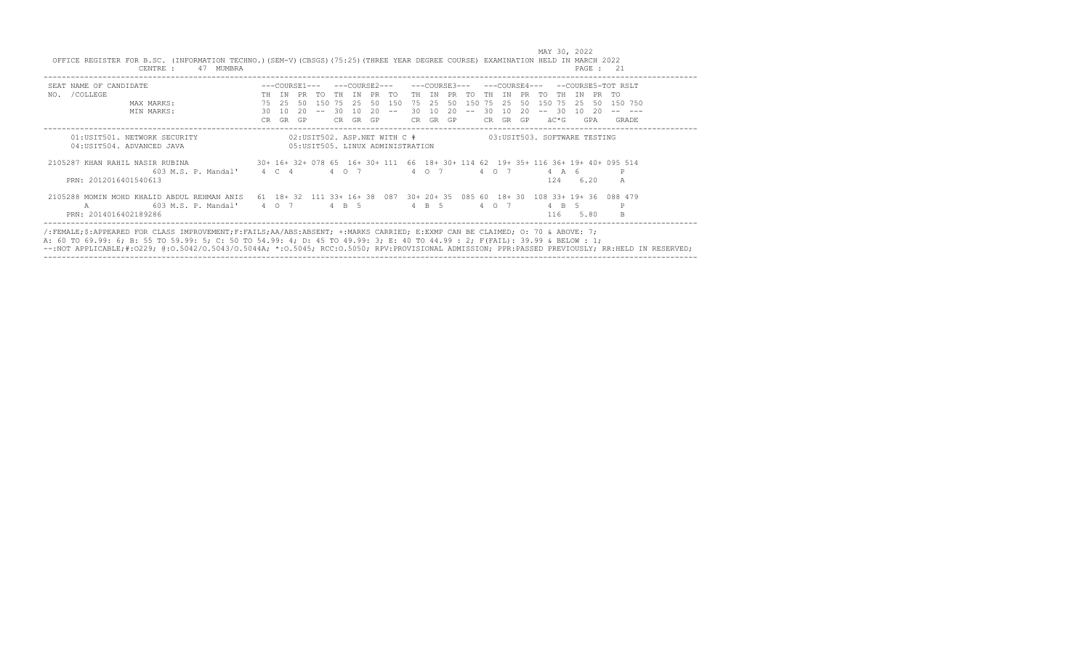| SEAT NAME OF CANDIDATE                                                                                                                         |     |       |     |           |     |             |    |                                  |        |          |    | ---COURSE3--- |        | $---COTIRSE4---$ |     |        |       |            | --COURSE5-TOT RSLT                                                           |
|------------------------------------------------------------------------------------------------------------------------------------------------|-----|-------|-----|-----------|-----|-------------|----|----------------------------------|--------|----------|----|---------------|--------|------------------|-----|--------|-------|------------|------------------------------------------------------------------------------|
| NO. / COLLEGE                                                                                                                                  | TH  | TN    |     | PR TO     |     | TH TN PR TO |    |                                  |        | TH TN    |    | PR TO         | TH.    | TN               |     | PR TO  | TH.   | TN         | PR<br>アの                                                                     |
| MAX MARKS:                                                                                                                                     |     | 75 25 | 50  | 150 75 25 |     |             |    | 50 150                           |        | 75 25    | 50 |               | 150 75 | -2.5             | 50  | 150 75 |       | -25        | 50 150 750                                                                   |
| MIN MARKS:                                                                                                                                     | 30  | 10    | 20  | $- -$     | 30  | 10          | 20 | $- -$                            | $30 -$ | 10       | 20 | $- -$         | -30    | 10               | 20. | 30     |       | 10<br>- 20 |                                                                              |
|                                                                                                                                                | CR. | GR    | GP. |           | CR. | GR          | GP |                                  |        | CR GR GP |    |               | CR.    | GR               | GP  | äC*G   |       | GPA        | GRADE                                                                        |
| 04: USIT504. ADVANCED JAVA<br>2105287 KHAN RAHIL NASIR RUBINA 30+ 16+ 32+ 078 65 16+ 30+ 111 66 18+ 30+ 114 62 19+ 35+ 116 36+ 19+ 40+ 095 514 |     |       |     |           |     |             |    | 05:USIT505, LINUX ADMINISTRATION |        |          |    |               |        |                  |     |        |       |            |                                                                              |
| 603 M.S. P. Mandal' 4 C 4 4 0 7                                                                                                                |     |       |     |           |     |             |    |                                  |        | 4 0 7    |    |               |        | 4 0 7            |     |        | 4 A 6 |            |                                                                              |
| PRN: 2012016401540613                                                                                                                          |     |       |     |           |     |             |    |                                  |        |          |    |               |        |                  |     | 124    |       | 6.20       | A                                                                            |
| 2105288 MOMIN MOHD KHALID ABDUL REHMAN ANIS                                                                                                    |     |       |     |           |     |             |    |                                  |        |          |    |               |        |                  |     |        |       |            | 61 18+ 32 111 33+ 16+ 38 087 30+ 20+ 35 085 60 18+ 30 108 33+ 19+ 36 088 479 |
| 603 M.S. P. Mandal' 4 0 7 4 B 5<br>$\mathcal{A}$                                                                                               |     |       |     |           |     |             |    |                                  |        | 4 B 5    |    |               |        | 4 0 7            |     |        | 4 R 5 |            | P                                                                            |
| PRN: 2014016402189286                                                                                                                          |     |       |     |           |     |             |    |                                  |        |          |    |               |        |                  |     | 116    |       | 5.80       |                                                                              |

A: 60 TO 69.99: 6; B: 55 TO 59.99: 5; C: 50 TO 54.99: 4; D: 45 TO 49.99: 3; E: 40 TO 44.99 : 2; F(FAIL): 39.99 & BELOW : 1;<br>--:NOT APPLICABLE;#:O229; @:O.5042/O.5043/O.5044A; \*:O.5045; RCC:O.5050; RPV:PROVISIONAL ADMISSION ------------------------------------------------------------------------------------------------------------------------------------------------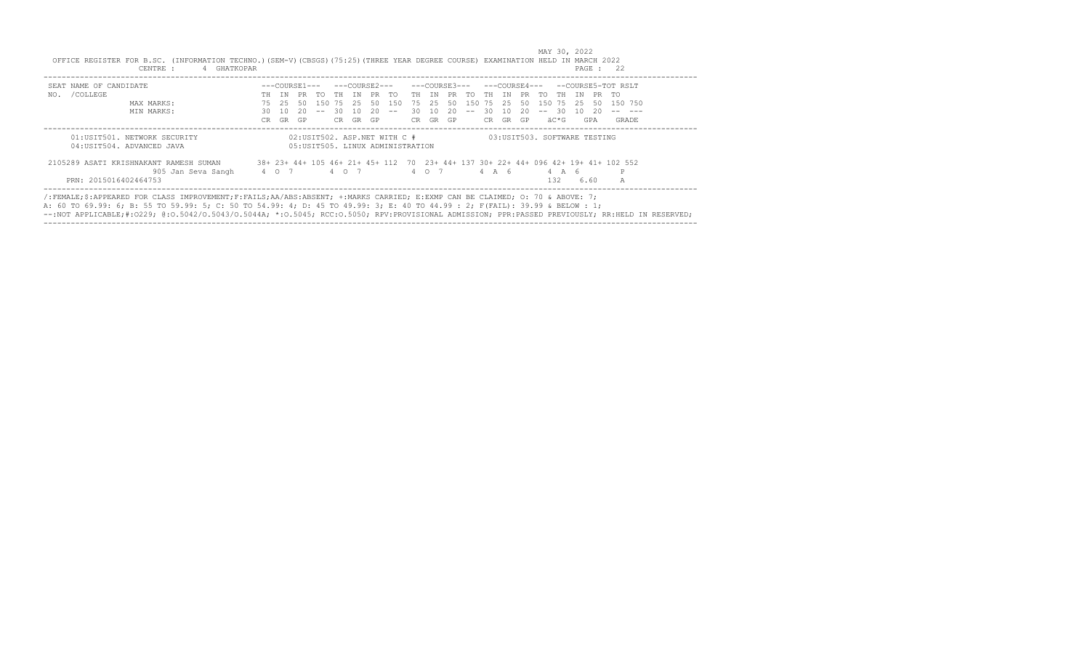| SEAT NAME OF CANDIDATE                 |     |       |     |           |       |     |     |                                   |       |          |      |        |       |     |     |         |       |     |       | $---COWRSE3-- ---COWRSE4-- ---COWRSE5-TOT RSI.T$                                   |
|----------------------------------------|-----|-------|-----|-----------|-------|-----|-----|-----------------------------------|-------|----------|------|--------|-------|-----|-----|---------|-------|-----|-------|------------------------------------------------------------------------------------|
| /COLLEGE<br>NO.                        | TH. | TN    | PR  | TO.       | TH TN |     |     | PR TO                             | TH TN |          | PR - | TO.    | TH    | TN  | PR  | アの      | - TH  | T N | PR TO |                                                                                    |
| MAX MARKS:                             | 75  | 2.5   | 50. | 150 75 25 |       |     | 50  | 150                               | 75    | -2.5     | 50   | 150 75 |       | -25 | 50  | 150     | 75 25 |     | -50   | 150 750                                                                            |
| MIN MARKS:                             | 30  | 10    | 20. |           | -30   | 10. | 20  | $  \,$                            | 30    | 10       | 20   | $- -$  | 30    | 10  | 20  | $-- 30$ |       | 1 O | - 20  |                                                                                    |
|                                        | CR. | GR    | GP  |           | CR.   | GR. | GP. |                                   |       | CR GR GP |      |        | CR    | GR  | GP. |         | äC*G  |     | GPA   | GRADE                                                                              |
| 04: USIT504. ADVANCED JAVA             |     |       |     |           |       |     |     | 05: USIT505. LINUX ADMINISTRATION |       |          |      |        |       |     |     |         |       |     |       |                                                                                    |
| 2105289 ASATI KRISHNAKANT RAMESH SUMAN |     |       |     |           |       |     |     |                                   |       |          |      |        |       |     |     |         |       |     |       | 38+ 23+ 44+ 105 46+ 21+ 45+ 112 70 23+ 44+ 137 30+ 22+ 44+ 096 42+ 19+ 41+ 102 552 |
| 905 Jan Seva Sangh                     |     | 4 0 7 |     |           | 4 0 7 |     |     |                                   |       | 4 0 7    |      |        | 4 A 6 |     |     |         | 4 A 6 |     |       |                                                                                    |
|                                        |     |       |     |           |       |     |     |                                   |       |          |      |        |       |     |     |         | 1.32  |     | 6.60  | Α                                                                                  |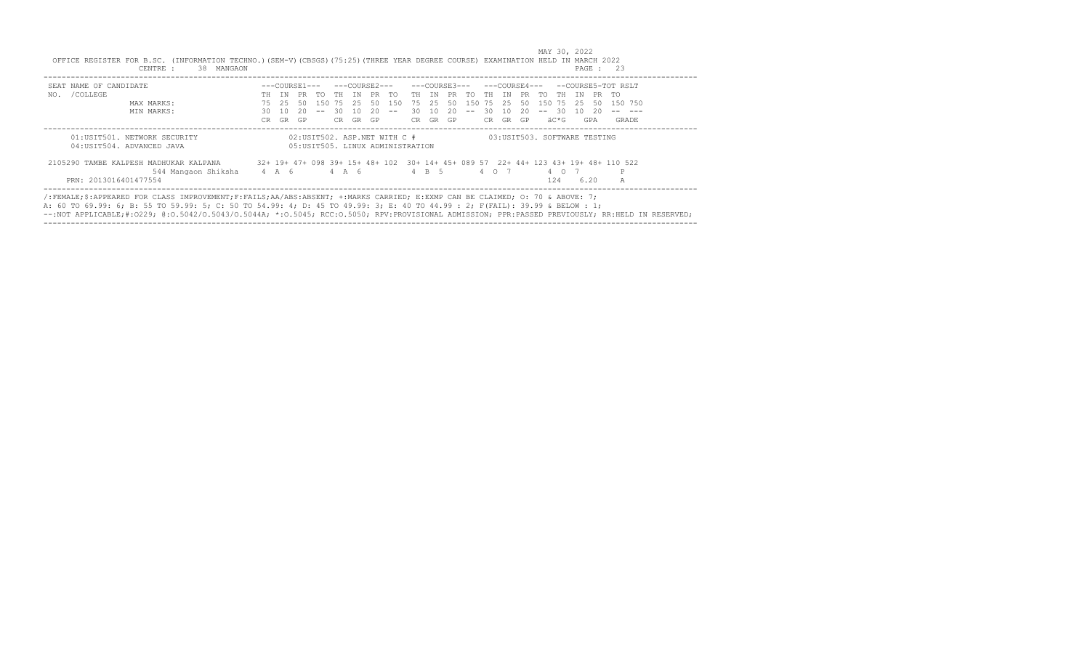| SEAT NAME OF CANDIDATE                                               |       |      |      |                  |       |       |    |                                   |      |       |             |        |       |       |       |           |       |      |       | $---COWRSE3------COWRSE4------COWESF5-TOT RSI.T$                                   |
|----------------------------------------------------------------------|-------|------|------|------------------|-------|-------|----|-----------------------------------|------|-------|-------------|--------|-------|-------|-------|-----------|-------|------|-------|------------------------------------------------------------------------------------|
| NO. / COLLEGE                                                        | TН    | TN   |      | PR TO THIN PR TO |       |       |    |                                   |      |       | TH IN PR TO |        | TH    | TN    | PR TO |           | TH    | TN   | PR TO |                                                                                    |
| MAX MARKS:                                                           | 75    | -25. | - 50 |                  |       |       |    | 150 75 25 50 150                  |      | 75 25 | 50          | 150 75 |       | 2.5   | 50    | 150 75 25 |       |      | -50   | 150 750                                                                            |
| MIN MARKS:                                                           | 30    | - 10 | 20   | $\sim$ $-$       | 30 10 |       | 20 | $- -$                             | 30 I | 10    | -20         | $- -$  | -30   | 10    | 20    | $-- 30$   |       | 10 D | - 20  |                                                                                    |
|                                                                      | CR.   | GR   | GP   |                  | CR.   | GR GP |    |                                   | CR — | GR GP |             |        | CR.   | GR GP |       |           | äC*G  |      | GPA   | GRADE                                                                              |
| 04: USIT504. ADVANCED JAVA<br>2105290 TAMBE KALPESH MADHUKAR KALPANA |       |      |      |                  |       |       |    | 05: USIT505. LINUX ADMINISTRATION |      |       |             |        |       |       |       |           |       |      |       | 32+ 19+ 47+ 098 39+ 15+ 48+ 102 30+ 14+ 45+ 089 57 22+ 44+ 123 43+ 19+ 48+ 110 522 |
|                                                                      | 4 A 6 |      |      | 4 A 6            |       |       |    |                                   |      | 4 B 5 |             |        | 4 0 7 |       |       |           | 4 0 7 |      |       | P                                                                                  |
| 544 Mangaon Shiksha                                                  |       |      |      |                  |       |       |    |                                   |      |       |             |        |       |       |       |           | 12.4  |      | 6.20  | $\mathbb{A}$                                                                       |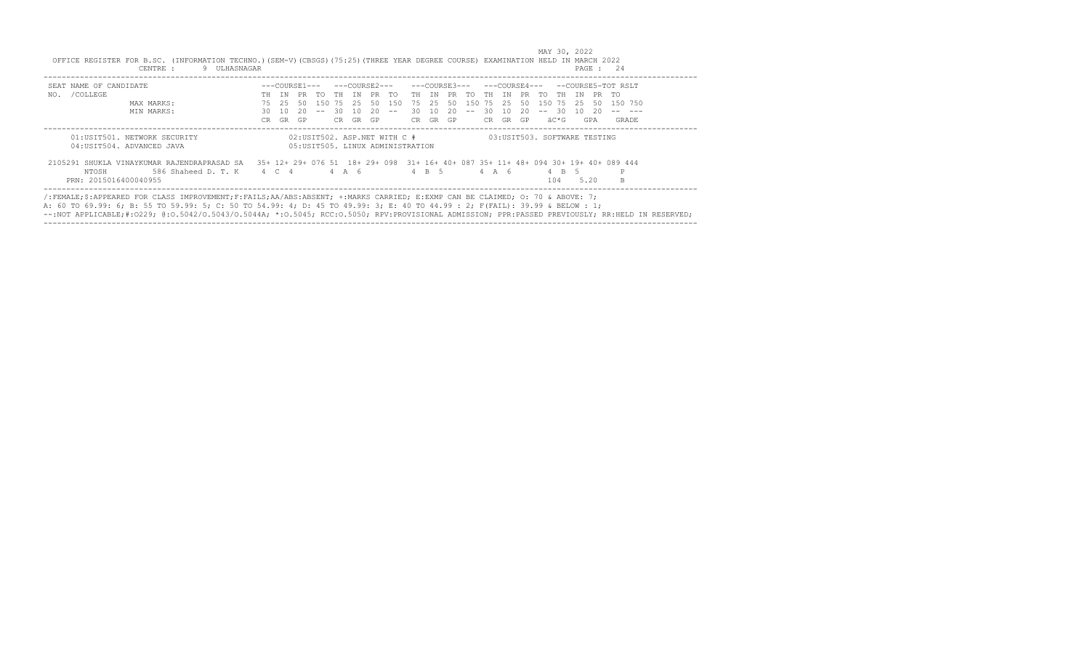| OFFICE REGISTER FOR B.SC. (INFORMATION TECHNO.) (SEM-V) (CBSGS) (75:25) (THREE YEAR DEGREE COURSE) EXAMINATION HELD IN MARCH 2022<br>9 ULHASNAGAR<br>CENTRE :                                                                                                                                                                                                                                                |     |                     |     |              |               |       |    |                                                                   |       |       |               |        |       |       |    |                              |      |    |      | PAGE : 24                                                                          |  |
|--------------------------------------------------------------------------------------------------------------------------------------------------------------------------------------------------------------------------------------------------------------------------------------------------------------------------------------------------------------------------------------------------------------|-----|---------------------|-----|--------------|---------------|-------|----|-------------------------------------------------------------------|-------|-------|---------------|--------|-------|-------|----|------------------------------|------|----|------|------------------------------------------------------------------------------------|--|
| SEAT NAME OF CANDIDATE                                                                                                                                                                                                                                                                                                                                                                                       |     |                     |     |              |               |       |    |                                                                   |       |       | ---COURSE3--- |        |       |       |    |                              |      |    |      | ---COURSE4--- --COURSE5-TOT RSLT                                                   |  |
| NO. / COLLEGE                                                                                                                                                                                                                                                                                                                                                                                                |     | T N                 | PR  |              | TO THIN PRITO |       |    |                                                                   | TH TN |       | PR TO         |        | TH    | TN    |    | PR TO                        | TH T | TN | PR   | - സ                                                                                |  |
| MAX MARKS:                                                                                                                                                                                                                                                                                                                                                                                                   | 75  | 25                  | -50 | 150 75 25 50 |               |       |    | 150                                                               |       | 75 25 | 50            | 150 75 |       | 2.5   | 50 | 150 75 25                    |      |    | -50  | 150 750                                                                            |  |
| MIN MARKS:                                                                                                                                                                                                                                                                                                                                                                                                   | 30  | 10                  | 20  | $-  \,$      | -30-          | 10    | 20 | $  \,$                                                            | 30    | 10    | 20            | $- -$  | -30   | 10    | 20 | $-- 30$                      |      | 10 | 20.  |                                                                                    |  |
|                                                                                                                                                                                                                                                                                                                                                                                                              | CR. | GR                  | GP  |              | CR.           | GR GP |    |                                                                   | CR —  |       | GR GP         |        | CR.   | GR GP |    |                              | äC*G |    | GPA  | <b>GRADE</b>                                                                       |  |
| 01:USIT501. NETWORK SECURITY<br>04: USIT504. ADVANCED JAVA                                                                                                                                                                                                                                                                                                                                                   |     |                     |     |              |               |       |    | 02:USIT502. ASP.NET WITH C #<br>05: USIT505. LINUX ADMINISTRATION |       |       |               |        |       |       |    | 03:USIT503. SOFTWARE TESTING |      |    |      |                                                                                    |  |
| 2105291 SHUKLA VINAYKUMAR RAJENDRAPRASAD SA                                                                                                                                                                                                                                                                                                                                                                  |     |                     |     |              |               |       |    |                                                                   |       |       |               |        |       |       |    |                              |      |    |      | 35+ 12+ 29+ 076 51 18+ 29+ 098 31+ 16+ 40+ 087 35+ 11+ 48+ 094 30+ 19+ 40+ 089 444 |  |
| NTOSH<br>586 Shaheed D. T. K                                                                                                                                                                                                                                                                                                                                                                                 |     | $4 \quad C \quad 4$ |     |              | 4 A 6         |       |    |                                                                   |       | 4 B 5 |               |        | 4 A 6 |       |    |                              | 4 B  |    |      | P                                                                                  |  |
| PRN: 2015016400040955                                                                                                                                                                                                                                                                                                                                                                                        |     |                     |     |              |               |       |    |                                                                   |       |       |               |        |       |       |    |                              | 104  |    | 5.20 |                                                                                    |  |
| /:FEMALE:S:APPEARED FOR CLASS IMPROVEMENT:F:FAILS:AA/ABS:ABSENT: +:MARKS CARRIED: E:EXMP CAN BE CLAIMED: 0: 70 & ABOVE: 7:<br>A: 60 TO 69.99: 6; B: 55 TO 59.99: 5; C: 50 TO 54.99: 4; D: 45 TO 49.99: 3; E: 40 TO 44.99 : 2; F(FAIL): 39.99 & BELOW : 1;<br>--:NOT APPLICABLE;#:0229; @:0.5042/0.5043/0.5044A; *:0.5045; RCC:0.5050; RPV:PROVISIONAL ADMISSION; PPR:PASSED PREVIOUSLY; RR:HELD IN RESERVED; |     |                     |     |              |               |       |    |                                                                   |       |       |               |        |       |       |    |                              |      |    |      |                                                                                    |  |

MAY 30, 2022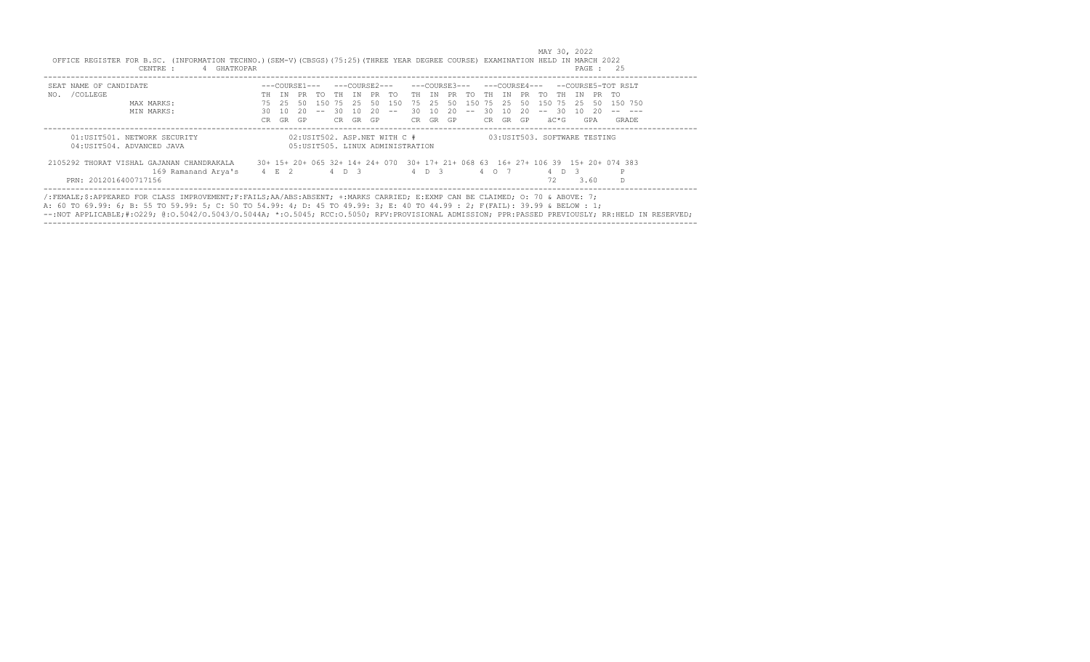| SEAT NAME OF CANDIDATE                    | ---COURSE1--- |     |     |     | ---COURSE2--- |       |     |                                   | ---COURSE3--- |       |     |     |       |     | ---COURSE4--- |                              |     | --COURSE5-TOT RSLT |     |                                                                                   |  |  |
|-------------------------------------------|---------------|-----|-----|-----|---------------|-------|-----|-----------------------------------|---------------|-------|-----|-----|-------|-----|---------------|------------------------------|-----|--------------------|-----|-----------------------------------------------------------------------------------|--|--|
| /COLLEGE<br>NO.                           | TН            | TN  | PR. | TO. | TH            | TN    | PR. | TO.                               | TH.           | TN    | PR. | TO. | TH.   | TN  | PR.           | TO.                          | TH. | T N                | PR. | TO.                                                                               |  |  |
| MAX MARKS:                                | 75            | 25  | -50 | 150 | 75            | -25   | 50  | 1.50                              | 75.           | 2.5   | 50  | 150 | 75    | 25  | 50            | 150                          | 75  | -25                | -50 | 150 750                                                                           |  |  |
| MIN MARKS:                                | 30.           | 1 O | -20 |     | 30            | 1 N   | 20  |                                   | 30.           | 1 O   | 20  |     | 30    | 1 O | 20.           |                              | -30 | 1 O                | -20 |                                                                                   |  |  |
|                                           | CR.           | GR  | GP  |     | CR.           | GR    | GP  |                                   | CR.           | GR GP |     |     | CR.   | GR  | <b>GP</b>     | äC*G                         |     | GPA                |     | GRADE                                                                             |  |  |
| 01:USIT501. NETWORK SECURITY              |               |     |     |     |               |       |     | 02:USIT502. ASP.NET WITH C #      |               |       |     |     |       |     |               | 03:USIT503. SOFTWARE TESTING |     |                    |     |                                                                                   |  |  |
| 04: USIT504. ADVANCED JAVA                |               |     |     |     |               |       |     | 05: USIT505. LINUX ADMINISTRATION |               |       |     |     |       |     |               |                              |     |                    |     |                                                                                   |  |  |
| 2105292 THORAT VISHAL GAJANAN CHANDRAKALA |               |     |     |     |               |       |     |                                   |               |       |     |     |       |     |               |                              |     |                    |     | 30+ 15+ 20+ 065 32+ 14+ 24+ 070 30+ 17+ 21+ 068 63 16+ 27+ 106 39 15+ 20+ 074 383 |  |  |
| 169 Ramanand Arya's                       | <b>4 E 2</b>  |     |     |     |               | 4 D 3 |     |                                   |               | 4 D 3 |     |     | 4 0 7 |     |               | 4 D                          |     | 3                  |     | P                                                                                 |  |  |
| PRN: 2012016400717156                     |               |     |     |     |               |       |     |                                   |               |       |     |     |       |     |               | 72                           |     | 3.60               |     | D.                                                                                |  |  |